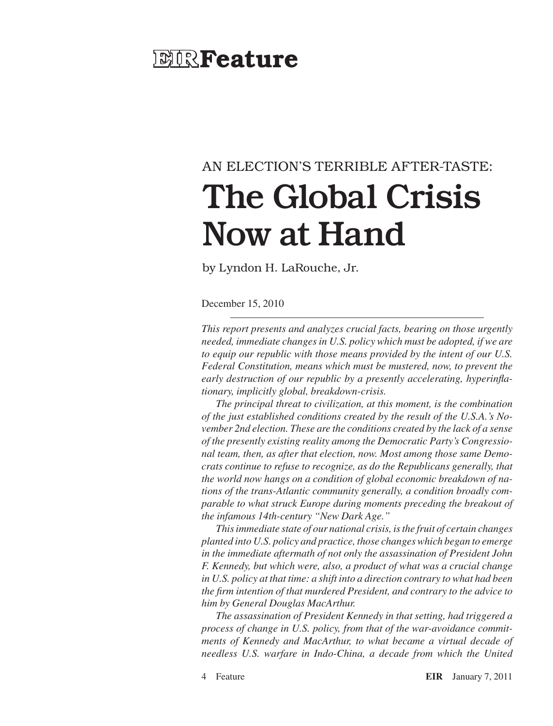# **EIR** Feature

# AN ELECTION's TERRIBLE AFTER-TASTE: The Global Crisis Now at Hand

by Lyndon H. LaRouche, Jr.

December 15, 2010

*This report presents and analyzes crucial facts, bearing on those urgently needed, immediate changes in U.S. policy which must be adopted, if we are to equip our republic with those means provided by the intent of our U.S. Federal Constitution, means which must be mustered, now, to prevent the early destruction of our republic by a presently accelerating, hyperinflationary, implicitly global, breakdown-crisis.*

*The principal threat to civilization, at this moment, is the combination of the just established conditions created by the result of the U.S.A.'s November 2nd election. These are the conditions created by the lack of a sense of the presently existing reality among the Democratic Party's Congressional team, then, as after that election, now. Most among those same Democrats continue to refuse to recognize, as do the Republicans generally, that the world now hangs on a condition of global economic breakdown of nations of the trans-Atlantic community generally, a condition broadly comparable to what struck Europe during moments preceding the breakout of the infamous 14th-century "New Dark Age."*

*This immediate state of our national crisis, is the fruit of certain changes planted into U.S. policy and practice, those changes which began to emerge in the immediate aftermath of not only the assassination of President John F. Kennedy, but which were, also, a product of what was a crucial change in U.S. policy at that time: a shift into a direction contrary to what had been the firm intention of that murdered President, and contrary to the advice to him by General Douglas MacArthur.*

*The assassination of President Kennedy in that setting, had triggered a process of change in U.S. policy, from that of the war-avoidance commitments of Kennedy and MacArthur, to what became a virtual decade of needless U.S. warfare in Indo-China, a decade from which the United*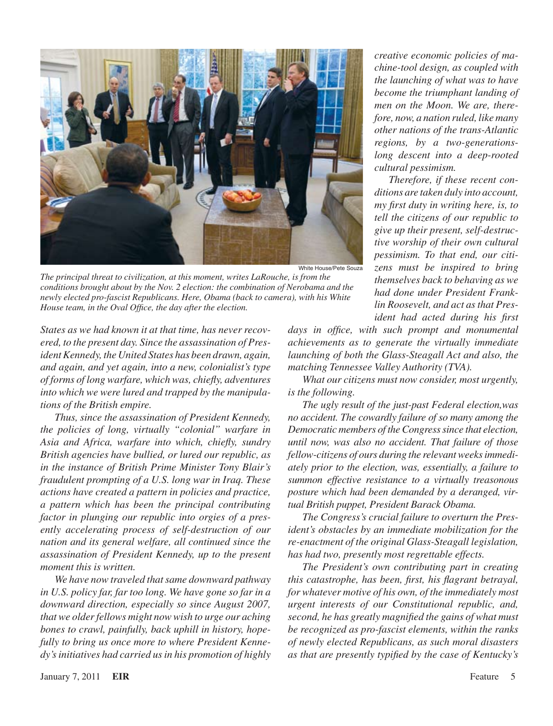

White House/Pete Souza

*The principal threat to civilization, at this moment, writes LaRouche, is from the conditions brought about by the Nov. 2 election: the combination of Nerobama and the newly elected pro-fascist Republicans. Here, Obama (back to camera), with his White House team, in the Oval Office, the day after the election.*

*States as we had known it at that time, has never recovered, to the present day. Since the assassination of President Kennedy, the United States has been drawn, again, and again, and yet again, into a new, colonialist's type of forms of long warfare, which was, chiefly, adventures into which we were lured and trapped by the manipulations of the British empire.*

*Thus, since the assassination of President Kennedy, the policies of long, virtually "colonial" warfare in Asia and Africa, warfare into which, chiefly, sundry British agencies have bullied, or lured our republic, as in the instance of British Prime Minister Tony Blair's fraudulent prompting of a U.S. long war in Iraq. These actions have created a pattern in policies and practice, a pattern which has been the principal contributing factor in plunging our republic into orgies of a presently accelerating process of self-destruction of our nation and its general welfare, all continued since the assassination of President Kennedy, up to the present moment this is written.*

*We have now traveled that same downward pathway in U.S. policy far, far too long. We have gone so far in a downward direction, especially so since August 2007, that we older fellows might now wish to urge our aching bones to crawl, painfully, back uphill in history, hopefully to bring us once more to where President Kennedy's initiatives had carried us in his promotion of highly*  *days in office, with such prompt and monumental achievements as to generate the virtually immediate launching of both the Glass-Steagall Act and also, the matching Tennessee Valley Authority (TVA).*

*What our citizens must now consider, most urgently, is the following.*

*The ugly result of the just-past Federal election,was no accident. The cowardly failure of so many among the Democratic members of the Congress since that election, until now, was also no accident. That failure of those fellow-citizens of ours during the relevant weeks immediately prior to the election, was, essentially, a failure to summon effective resistance to a virtually treasonous posture which had been demanded by a deranged, virtual British puppet, President Barack Obama.*

*The Congress's crucial failure to overturn the President's obstacles by an immediate mobilization for the re-enactment of the original Glass-Steagall legislation, has had two, presently most regrettable effects.*

*The President's own contributing part in creating this catastrophe, has been, first, his flagrant betrayal, for whatever motive of his own, of the immediately most urgent interests of our Constitutional republic, and, second, he has greatly magnified the gains of what must be recognized as pro-fascist elements, within the ranks of newly elected Republicans, as such moral disasters as that are presently typified by the case of Kentucky's* 

January 7, 2011 **EIR** Feature

*creative economic policies of machine-tool design, as coupled with the launching of what was to have become the triumphant landing of men on the Moon. We are, therefore, now, a nation ruled, like many other nations of the trans-Atlantic regions, by a two-generationslong descent into a deep-rooted cultural pessimism.*

*Therefore, if these recent conditions are taken duly into account, my first duty in writing here, is, to tell the citizens of our republic to give up their present, self-destructive worship of their own cultural pessimism. To that end, our citizens must be inspired to bring themselves back to behaving as we had done under President Franklin Roosevelt, and act as that President had acted during his first*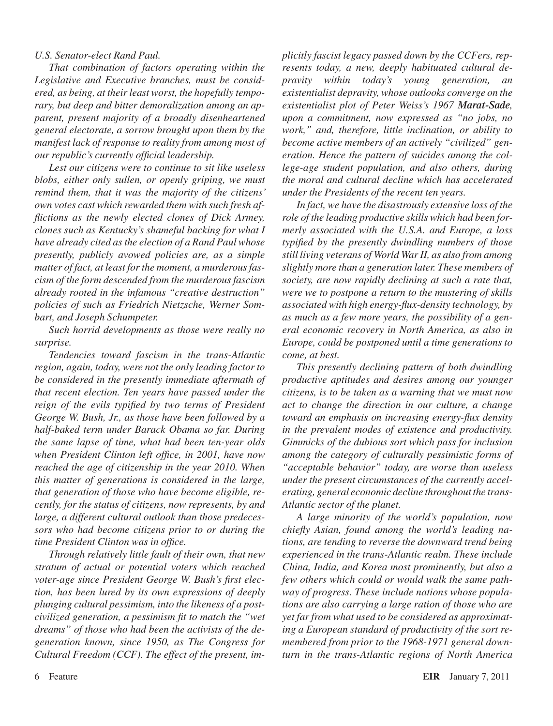#### *U.S. Senator-elect Rand Paul.*

*That combination of factors operating within the Legislative and Executive branches, must be considered, as being, at their least worst, the hopefully temporary, but deep and bitter demoralization among an apparent, present majority of a broadly disenheartened general electorate, a sorrow brought upon them by the manifest lack of response to reality from among most of our republic's currently official leadership.*

*Lest our citizens were to continue to sit like useless blobs, either only sullen, or openly griping, we must remind them, that it was the majority of the citizens' own votes cast which rewarded them with such fresh afflictions as the newly elected clones of Dick Armey, clones such as Kentucky's shameful backing for what I have already cited as the election of a Rand Paul whose presently, publicly avowed policies are, as a simple matter of fact, at least for the moment, a murderous fascism of the form descended from the murderous fascism already rooted in the infamous "creative destruction" policies of such as Friedrich Nietzsche, Werner Sombart, and Joseph Schumpeter.*

*Such horrid developments as those were really no surprise.*

*Tendencies toward fascism in the trans-Atlantic region, again, today, were not the only leading factor to be considered in the presently immediate aftermath of that recent election. Ten years have passed under the reign of the evils typified by two terms of President George W. Bush, Jr., as those have been followed by a half-baked term under Barack Obama so far. During the same lapse of time, what had been ten-year olds when President Clinton left office, in 2001, have now reached the age of citizenship in the year 2010. When this matter of generations is considered in the large, that generation of those who have become eligible, recently, for the status of citizens, now represents, by and large, a different cultural outlook than those predecessors who had become citizens prior to or during the time President Clinton was in office.*

*Through relatively little fault of their own, that new stratum of actual or potential voters which reached voter-age since President George W. Bush's first election, has been lured by its own expressions of deeply plunging cultural pessimism, into the likeness of a postcivilized generation, a pessimism fit to match the "wet dreams" of those who had been the activists of the degeneration known, since 1950, as The Congress for Cultural Freedom (CCF). The effect of the present, im-* *plicitly fascist legacy passed down by the CCFers, represents today, a new, deeply habituated cultural depravity within today's young generation, an existentialist depravity, whose outlooks converge on the existentialist plot of Peter Weiss's 1967 Marat-Sade, upon a commitment, now expressed as "no jobs, no work," and, therefore, little inclination, or ability to become active members of an actively "civilized" generation. Hence the pattern of suicides among the college-age student population, and also others, during the moral and cultural decline which has accelerated under the Presidents of the recent ten years.*

*In fact, we have the disastrously extensive loss of the role of the leading productive skills which had been formerly associated with the U.S.A. and Europe, a loss typified by the presently dwindling numbers of those still living veterans of World War II, as also from among slightly more than a generation later. These members of society, are now rapidly declining at such a rate that, were we to postpone a return to the mustering of skills associated with high energy-flux-density technology, by as much as a few more years, the possibility of a general economic recovery in North America, as also in Europe, could be postponed until a time generations to come, at best.*

*This presently declining pattern of both dwindling productive aptitudes and desires among our younger citizens, is to be taken as a warning that we must now act to change the direction in our culture, a change toward an emphasis on increasing energy-flux density in the prevalent modes of existence and productivity. Gimmicks of the dubious sort which pass for inclusion among the category of culturally pessimistic forms of "acceptable behavior" today, are worse than useless under the present circumstances of the currently accelerating, general economic decline throughout the trans-Atlantic sector of the planet.*

*A large minority of the world's population, now chiefly Asian, found among the world's leading nations, are tending to reverse the downward trend being experienced in the trans-Atlantic realm. These include China, India, and Korea most prominently, but also a few others which could or would walk the same pathway of progress. These include nations whose populations are also carrying a large ration of those who are yet far from what used to be considered as approximating a European standard of productivity of the sort remembered from prior to the 1968-1971 general downturn in the trans-Atlantic regions of North America*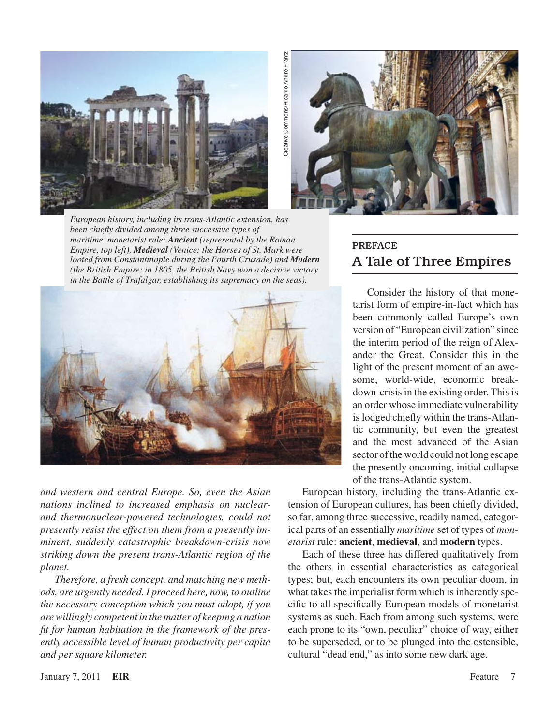



*European history, including its trans-Atlantic extension, has been chiefly divided among three successive types of maritime, monetarist rule: Ancient (represental by the Roman Empire, top left), Medieval (Venice: the Horses of St. Mark were looted from Constantinople during the Fourth Crusade) and Modern (the British Empire: in 1805, the British Navy won a decisive victory* 



*and western and central Europe. So, even the Asian nations inclined to increased emphasis on nuclearand thermonuclear-powered technologies, could not presently resist the effect on them from a presently imminent, suddenly catastrophic breakdown-crisis now striking down the present trans-Atlantic region of the planet.*

*Therefore, a fresh concept, and matching new methods, are urgently needed. I proceed here, now, to outline the necessary conception which you must adopt, if you are willingly competent in the matter of keeping a nation fit for human habitation in the framework of the presently accessible level of human productivity per capita and per square kilometer.*

# **PREFACE** A Tale of Three Empires

Consider the history of that monetarist form of empire-in-fact which has been commonly called Europe's own version of "European civilization" since the interim period of the reign of Alexander the Great. Consider this in the light of the present moment of an awesome, world-wide, economic breakdown-crisis in the existing order. This is an order whose immediate vulnerability islodged chiefly within the trans-Atlantic community, but even the greatest and the most advanced of the Asian sector of the world could not long escape the presently oncoming, initial collapse of the trans-Atlantic system.

European history, including the trans-Atlantic extension of European cultures, has been chiefly divided, so far, among three successive, readily named, categorical parts of an essentially *maritime* set of types of *monetarist* rule: **ancient**, **medieval**, and **modern** types.

Each of these three has differed qualitatively from the others in essential characteristics as categorical types; but, each encounters its own peculiar doom, in what takes the imperialist form which is inherently specific to all specifically European models of monetarist systems as such. Each from among such systems, were each prone to its "own, peculiar" choice of way, either to be superseded, or to be plunged into the ostensible, cultural "dead end," as into some new dark age.

January 7, 2011 **EIR** Feature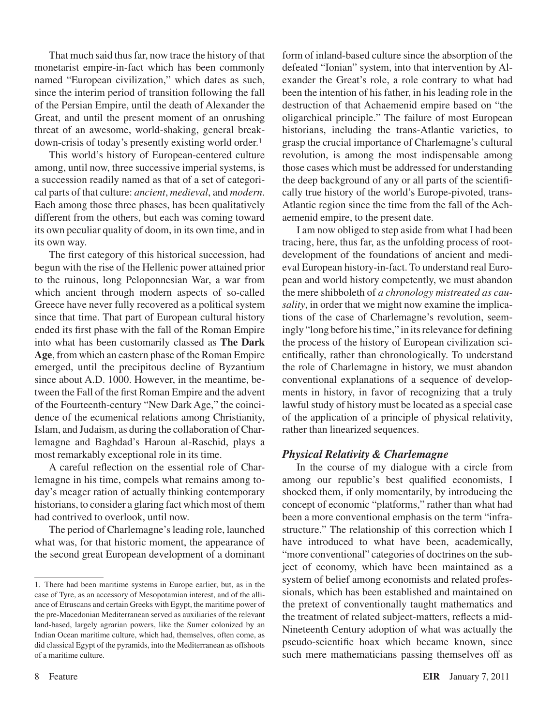That much said thus far, now trace the history of that monetarist empire-in-fact which has been commonly named "European civilization," which dates as such, since the interim period of transition following the fall of the Persian Empire, until the death of Alexander the Great, and until the present moment of an onrushing threat of an awesome, world-shaking, general breakdown-crisis of today's presently existing world order.

This world's history of European-centered culture among, until now, three successive imperial systems, is a succession readily named as that of a set of categorical parts of that culture: *ancient*, *medieval*, and *modern*. Each among those three phases, has been qualitatively different from the others, but each was coming toward its own peculiar quality of doom, in its own time, and in its own way.

The first category of this historical succession, had begun with the rise of the Hellenic power attained prior to the ruinous, long Peloponnesian War, a war from which ancient through modern aspects of so-called Greece have never fully recovered as a political system since that time. That part of European cultural history ended its first phase with the fall of the Roman Empire into what has been customarily classed as **The Dark Age**, from which an eastern phase of the Roman Empire emerged, until the precipitous decline of Byzantium since about A.D. 1000. However, in the meantime, between the Fall of the first Roman Empire and the advent of the Fourteenth-century "New Dark Age," the coincidence of the ecumenical relations among Christianity, Islam, and Judaism, as during the collaboration of Charlemagne and Baghdad's Haroun al-Raschid, plays a most remarkably exceptional role in its time.

A careful reflection on the essential role of Charlemagne in his time, compels what remains among today's meager ration of actually thinking contemporary historians, to consider a glaring fact which most of them had contrived to overlook, until now.

The period of Charlemagne's leading role, launched what was, for that historic moment, the appearance of the second great European development of a dominant form of inland-based culture since the absorption of the defeated "Ionian" system, into that intervention by Alexander the Great's role, a role contrary to what had been the intention of his father, in his leading role in the destruction of that Achaemenid empire based on "the oligarchical principle." The failure of most European historians, including the trans-Atlantic varieties, to grasp the crucial importance of Charlemagne's cultural revolution, is among the most indispensable among those cases which must be addressed for understanding the deep background of any or all parts of the scientifically true history of the world's Europe-pivoted, trans-Atlantic region since the time from the fall of the Achaemenid empire, to the present date.

I am now obliged to step aside from what I had been tracing, here, thus far, as the unfolding process of rootdevelopment of the foundations of ancient and medieval European history-in-fact. To understand real European and world history competently, we must abandon the mere shibboleth of *a chronology mistreated as causality*, in order that we might now examine the implications of the case of Charlemagne's revolution, seemingly "long before histime," in itsrelevance for defining the process of the history of European civilization scientifically, rather than chronologically. To understand the role of Charlemagne in history, we must abandon conventional explanations of a sequence of developments in history, in favor of recognizing that a truly lawful study of history must be located as a special case of the application of a principle of physical relativity, rather than linearized sequences.

#### *Physical Relativity & Charlemagne*

In the course of my dialogue with a circle from among our republic's best qualified economists, I shocked them, if only momentarily, by introducing the concept of economic "platforms," rather than what had been a more conventional emphasis on the term "infrastructure." The relationship of this correction which I have introduced to what have been, academically, "more conventional" categories of doctrines on the subject of economy, which have been maintained as a system of belief among economists and related professionals, which has been established and maintained on the pretext of conventionally taught mathematics and the treatment of related subject-matters, reflects a mid-Nineteenth Century adoption of what was actually the pseudo-scientific hoax which became known, since such mere mathematicians passing themselves off as

<sup>.</sup> There had been maritime systems in Europe earlier, but, as in the case of Tyre, as an accessory of Mesopotamian interest, and of the alliance of Etruscans and certain Greeks with Egypt, the maritime power of the pre-Macedonian Mediterranean served as auxiliaries of the relevant land-based, largely agrarian powers, like the Sumer colonized by an Indian Ocean maritime culture, which had, themselves, often come, as did classical Egypt of the pyramids, into the Mediterranean as offshoots of a maritime culture.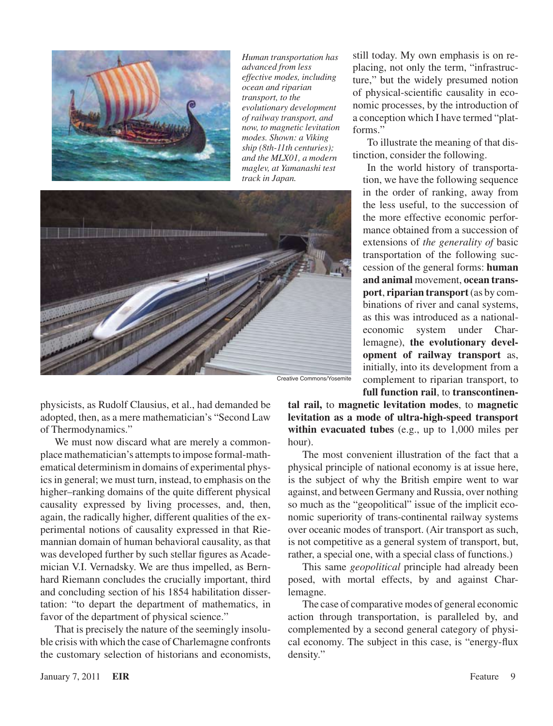

*Human transportation has advanced from less effective modes, including ocean and riparian transport, to the evolutionary development of railway transport, and now, to magnetic levitation modes. Shown: a Viking ship (8th-11th centuries); and the MLX01, a modern maglev, at Yamanashi test track in Japan.*



physicists, as Rudolf Clausius, et al., had demanded be adopted, then, as a mere mathematician's "Second Law of Thermodynamics."

We must now discard what are merely a commonplace mathematician's attempts to impose formal-mathematical determinism in domains of experimental physics in general; we must turn, instead, to emphasis on the higher–ranking domains of the quite different physical causality expressed by living processes, and, then, again, the radically higher, different qualities of the experimental notions of causality expressed in that Riemannian domain of human behavioral causality, as that was developed further by such stellar figures as Academician V.I. Vernadsky. We are thus impelled, as Bernhard Riemann concludes the crucially important, third and concluding section of his 1854 habilitation dissertation: "to depart the department of mathematics, in favor of the department of physical science."

That is precisely the nature of the seemingly insoluble crisis with which the case of Charlemagne confronts the customary selection of historians and economists, still today. My own emphasis is on replacing, not only the term, "infrastructure," but the widely presumed notion of physical-scientific causality in economic processes, by the introduction of a conception which I have termed "platforms."

To illustrate the meaning of that distinction, consider the following.

In the world history of transportation, we have the following sequence in the order of ranking, away from the less useful, to the succession of the more effective economic performance obtained from a succession of extensions of *the generality of* basic transportation of the following succession of the general forms: **human and animal** movement, **ocean transport**, **riparian transport**(as by combinations of river and canal systems, as this was introduced as a nationaleconomic system under Charlemagne), **the evolutionary development of railway transport** as, initially, into its development from a complement to riparian transport, to **full function rail**, to **transcontinen-**

**tal rail,** to **magnetic levitation modes**, to **magnetic levitation as a mode of ultra-high-speed transport within evacuated tubes** (e.g., up to 1,000 miles per hour).

The most convenient illustration of the fact that a physical principle of national economy is at issue here, is the subject of why the British empire went to war against, and between Germany and Russia, over nothing so much as the "geopolitical" issue of the implicit economic superiority of trans-continental railway systems over oceanic modes of transport. (Air transport as such, is not competitive as a general system of transport, but, rather, a special one, with a special class of functions.)

This same *geopolitical* principle had already been posed, with mortal effects, by and against Charlemagne.

The case of comparative modes of general economic action through transportation, is paralleled by, and complemented by a second general category of physical economy. The subject in this case, is "energy-flux density."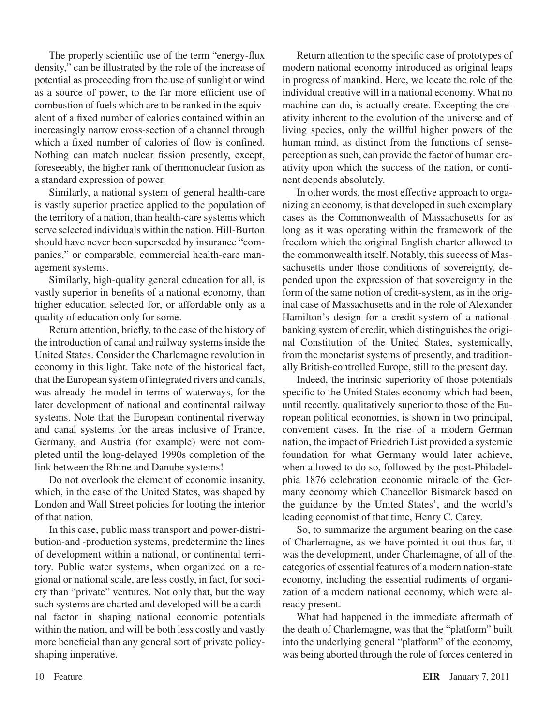The properly scientific use of the term "energy-flux density," can be illustrated by the role of the increase of potential as proceeding from the use of sunlight or wind as a source of power, to the far more efficient use of combustion of fuels which are to be ranked in the equivalent of a fixed number of calories contained within an increasingly narrow cross-section of a channel through which a fixed number of calories of flow is confined. Nothing can match nuclear fission presently, except, foreseeably, the higher rank of thermonuclear fusion as a standard expression of power.

Similarly, a national system of general health-care is vastly superior practice applied to the population of the territory of a nation, than health-care systems which serve selected individuals within the nation. Hill-Burton should have never been superseded by insurance "companies," or comparable, commercial health-care management systems.

Similarly, high-quality general education for all, is vastly superior in benefits of a national economy, than higher education selected for, or affordable only as a quality of education only for some.

Return attention, briefly, to the case of the history of the introduction of canal and railway systems inside the United States. Consider the Charlemagne revolution in economy in this light. Take note of the historical fact, that the European system of integrated rivers and canals, was already the model in terms of waterways, for the later development of national and continental railway systems. Note that the European continental riverway and canal systems for the areas inclusive of France, Germany, and Austria (for example) were not completed until the long-delayed 1990s completion of the link between the Rhine and Danube systems!

Do not overlook the element of economic insanity, which, in the case of the United States, was shaped by London and Wall Street policies for looting the interior of that nation.

In this case, public mass transport and power-distribution-and -production systems, predetermine the lines of development within a national, or continental territory. Public water systems, when organized on a regional or national scale, are less costly, in fact, for society than "private" ventures. Not only that, but the way such systems are charted and developed will be a cardinal factor in shaping national economic potentials within the nation, and will be both less costly and vastly more beneficial than any general sort of private policyshaping imperative.

Return attention to the specific case of prototypes of modern national economy introduced as original leaps in progress of mankind. Here, we locate the role of the individual creative will in a national economy. What no machine can do, is actually create. Excepting the creativity inherent to the evolution of the universe and of living species, only the willful higher powers of the human mind, as distinct from the functions of senseperception as such, can provide the factor of human creativity upon which the success of the nation, or continent depends absolutely.

In other words, the most effective approach to organizing an economy, isthat developed in such exemplary cases as the Commonwealth of Massachusetts for as long as it was operating within the framework of the freedom which the original English charter allowed to the commonwealth itself. Notably, this success of Massachusetts under those conditions of sovereignty, depended upon the expression of that sovereignty in the form of the same notion of credit-system, as in the original case of Massachusetts and in the role of Alexander Hamilton's design for a credit-system of a nationalbanking system of credit, which distinguishes the original Constitution of the United States, systemically, from the monetarist systems of presently, and traditionally British-controlled Europe, still to the present day.

Indeed, the intrinsic superiority of those potentials specific to the United States economy which had been, until recently, qualitatively superior to those of the European political economies, is shown in two principal, convenient cases. In the rise of a modern German nation, the impact of Friedrich List provided a systemic foundation for what Germany would later achieve, when allowed to do so, followed by the post-Philadelphia 1876 celebration economic miracle of the Germany economy which Chancellor Bismarck based on the guidance by the United States', and the world's leading economist of that time, Henry C. Carey.

So, to summarize the argument bearing on the case of Charlemagne, as we have pointed it out thus far, it was the development, under Charlemagne, of all of the categories of essential features of a modern nation-state economy, including the essential rudiments of organization of a modern national economy, which were already present.

What had happened in the immediate aftermath of the death of Charlemagne, was that the "platform" built into the underlying general "platform" of the economy, was being aborted through the role of forces centered in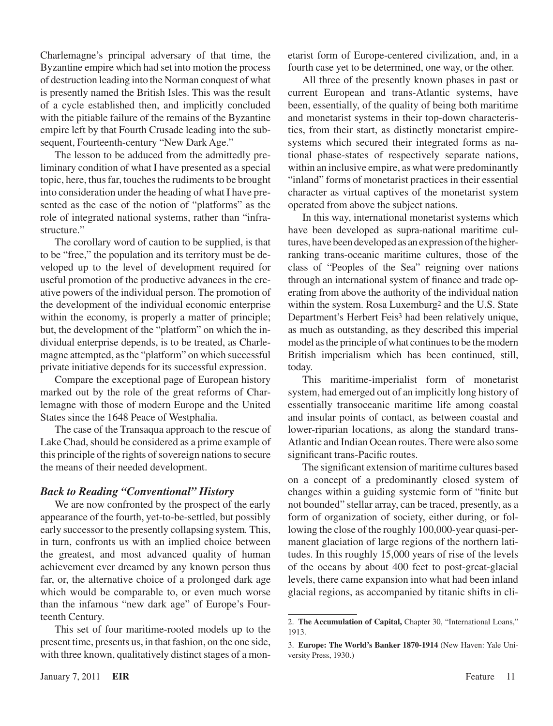Charlemagne's principal adversary of that time, the Byzantine empire which had set into motion the process of destruction leading into the Norman conquest of what is presently named the British Isles. This was the result of a cycle established then, and implicitly concluded with the pitiable failure of the remains of the Byzantine empire left by that Fourth Crusade leading into the subsequent, Fourteenth-century "New Dark Age."

The lesson to be adduced from the admittedly preliminary condition of what I have presented as a special topic, here, thus far, touches the rudiments to be brought into consideration under the heading of what I have presented as the case of the notion of "platforms" as the role of integrated national systems, rather than "infrastructure."

The corollary word of caution to be supplied, is that to be "free," the population and its territory must be developed up to the level of development required for useful promotion of the productive advances in the creative powers of the individual person. The promotion of the development of the individual economic enterprise within the economy, is properly a matter of principle; but, the development of the "platform" on which the individual enterprise depends, is to be treated, as Charlemagne attempted, asthe "platform" on which successful private initiative depends for its successful expression.

Compare the exceptional page of European history marked out by the role of the great reforms of Charlemagne with those of modern Europe and the United States since the 1648 Peace of Westphalia.

The case of the Transaqua approach to the rescue of Lake Chad, should be considered as a prime example of this principle of the rights of sovereign nations to secure the means of their needed development.

#### *Back to Reading "Conventional" History*

We are now confronted by the prospect of the early appearance of the fourth, yet-to-be-settled, but possibly early successorto the presently collapsing system*.* This, in turn, confronts us with an implied choice between the greatest, and most advanced quality of human achievement ever dreamed by any known person thus far, or, the alternative choice of a prolonged dark age which would be comparable to, or even much worse than the infamous "new dark age" of Europe's Fourteenth Century.

This set of four maritime-rooted models up to the present time, presents us, in that fashion, on the one side, with three known, qualitatively distinct stages of a monetarist form of Europe-centered civilization, and, in a fourth case yet to be determined, one way, or the other.

All three of the presently known phases in past or current European and trans-Atlantic systems, have been, essentially, of the quality of being both maritime and monetarist systems in their top-down characteristics, from their start, as distinctly monetarist empiresystems which secured their integrated forms as national phase-states of respectively separate nations, within an inclusive empire, as what were predominantly "inland" forms of monetarist practices in their essential character as virtual captives of the monetarist system operated from above the subject nations.

In this way, international monetarist systems which have been developed as supra-national maritime cultures, have been developed as an expression of the higherranking trans-oceanic maritime cultures, those of the class of "Peoples of the Sea" reigning over nations through an international system of finance and trade operating from above the authority of the individual nation within the system. Rosa Luxemburg<sup>2</sup> and the U.S. State Department's Herbert Feis<sup>3</sup> had been relatively unique, as much as outstanding, as they described this imperial model as the principle of what continues to be the modern British imperialism which has been continued, still, today.

This maritime-imperialist form of monetarist system, had emerged out of an implicitly long history of essentially transoceanic maritime life among coastal and insular points of contact, as between coastal and lower-riparian locations, as along the standard trans-Atlantic and Indian Ocean routes. There were also some significant trans-Pacific routes.

The significant extension of maritime cultures based on a concept of a predominantly closed system of changes within a guiding systemic form of "finite but not bounded" stellar array, can be traced, presently, as a form of organization of society, either during, or following the close of the roughly 100,000-year quasi-permanent glaciation of large regions of the northern latitudes. In this roughly 15,000 years of rise of the levels of the oceans by about 400 feet to post-great-glacial levels, there came expansion into what had been inland glacial regions, as accompanied by titanic shifts in cli-

<sup>.</sup> **The Accumulation of Capital,** Chapter 30, "International Loans," 1913.

<sup>.</sup> **Europe: The World's Banker 1870-1914** (New Haven: Yale University Press, 1930.)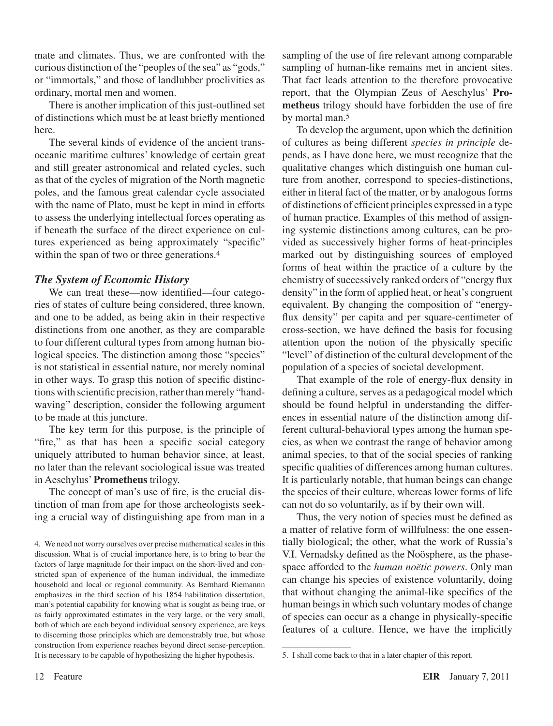mate and climates. Thus, we are confronted with the curious distinction of the "peoples of the sea" as "gods," or "immortals," and those of landlubber proclivities as ordinary, mortal men and women.

There is another implication of this just-outlined set of distinctions which must be at least briefly mentioned here.

The several kinds of evidence of the ancient transoceanic maritime cultures' knowledge of certain great and still greater astronomical and related cycles, such as that of the cycles of migration of the North magnetic poles, and the famous great calendar cycle associated with the name of Plato, must be kept in mind in efforts to assess the underlying intellectual forces operating as if beneath the surface of the direct experience on cultures experienced as being approximately "specific" within the span of two or three generations.<sup>4</sup>

#### *The System of Economic History*

We can treat these—now identified—four categories of states of culture being considered, three known, and one to be added, as being akin in their respective distinctions from one another, as they are comparable to four different cultural types from among human biological species*.* The distinction among those "species" is not statistical in essential nature, nor merely nominal in other ways. To grasp this notion of specific distinctions with scientific precision, rather than merely "handwaving" description, consider the following argument to be made at this juncture.

The key term for this purpose, is the principle of "fire," as that has been a specific social category uniquely attributed to human behavior since, at least, no later than the relevant sociological issue was treated in Aeschylus'**Prometheus** trilogy.

The concept of man's use of fire, is the crucial distinction of man from ape for those archeologists seeking a crucial way of distinguishing ape from man in a sampling of the use of fire relevant among comparable sampling of human-like remains met in ancient sites. That fact leads attention to the therefore provocative report, that the Olympian Zeus of Aeschylus' **Prometheus** trilogy should have forbidden the use of fire by mortal man.

To develop the argument, upon which the definition of cultures as being different *species in principle* depends, as I have done here, we must recognize that the qualitative changes which distinguish one human culture from another, correspond to species-distinctions, either in literal fact of the matter, or by analogous forms of distinctions of efficient principles expressed in a type of human practice. Examples of this method of assigning systemic distinctions among cultures, can be provided as successively higher forms of heat-principles marked out by distinguishing sources of employed forms of heat within the practice of a culture by the chemistry of successively ranked orders of "energy flux density" in the form of applied heat, or heat's congruent equivalent. By changing the composition of "energyflux density" per capita and per square-centimeter of cross-section, we have defined the basis for focusing attention upon the notion of the physically specific "level" of distinction of the cultural development of the population of a species of societal development.

That example of the role of energy-flux density in defining a culture, serves as a pedagogical model which should be found helpful in understanding the differences in essential nature of the distinction among different cultural-behavioral types among the human species, as when we contrast the range of behavior among animal species, to that of the social species of ranking specific qualities of differences among human cultures. It is particularly notable, that human beings can change the species of their culture, whereas lower forms of life can not do so voluntarily, as if by their own will.

Thus, the very notion of species must be defined as a matter of relative form of willfulness: the one essentially biological; the other, what the work of Russia's V.I. Vernadsky defined as the Noösphere, as the phasespace afforded to the *human noëtic powers*. Only man can change his species of existence voluntarily, doing that without changing the animal-like specifics of the human beings in which such voluntary modes of change of species can occur as a change in physically-specific features of a culture. Hence, we have the implicitly

<sup>4.</sup> We need not worry ourselves over precise mathematical scales in this discussion. What is of crucial importance here, is to bring to bear the factors of large magnitude for their impact on the short-lived and constricted span of experience of the human individual, the immediate household and local or regional community. As Bernhard Riemannn emphasizes in the third section of his 1854 habilitation dissertation, man's potential capability for knowing what is sought as being true, or as fairly approximated estimates in the very large, or the very small, both of which are each beyond individual sensory experience, are keys to discerning those principles which are demonstrably true, but whose construction from experience reaches beyond direct sense-perception. It is necessary to be capable of hypothesizing the higher hypothesis.

<sup>.</sup> I shall come back to that in a later chapter of this report.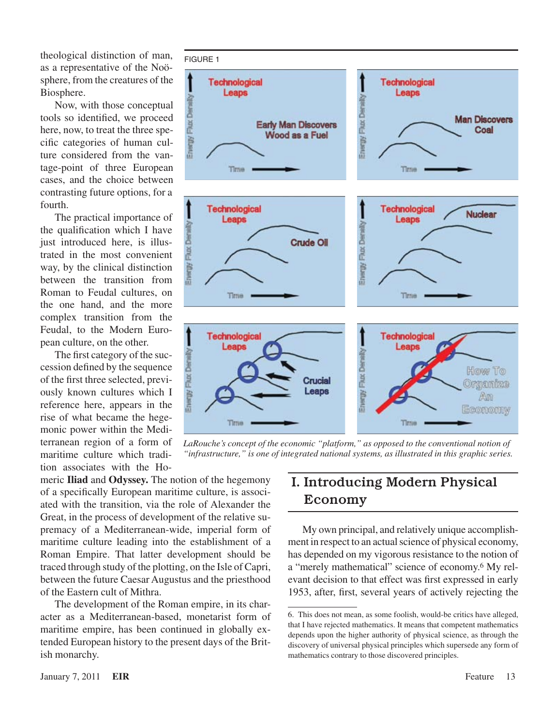theological distinction of man, as a representative of the Noösphere, from the creatures of the Biosphere.

Now, with those conceptual tools so identified, we proceed here, now, to treat the three specific categories of human culture considered from the vantage-point of three European cases, and the choice between contrasting future options, for a fourth.

The practical importance of the qualification which I have just introduced here, is illustrated in the most convenient way, by the clinical distinction between the transition from Roman to Feudal cultures, on the one hand, and the more complex transition from the Feudal, to the Modern European culture, on the other.

The first category of the succession defined by the sequence of the first three selected, previously known cultures which I reference here, appears in the rise of what became the hegemonic power within the Mediterranean region of a form of maritime culture which tradition associates with the Ho-



LaRouche's concept of the economic "platform," as opposed to the conventional notion of *"infrastructure," is one of integrated national systems, as illustrated in this graphic series.*

meric **Iliad** and **Odyssey.** The notion of the hegemony of a specifically European maritime culture, is associated with the transition, via the role of Alexander the Great, in the process of development of the relative supremacy of a Mediterranean-wide, imperial form of maritime culture leading into the establishment of a Roman Empire. That latter development should be traced through study of the plotting, on the Isle of Capri, between the future Caesar Augustus and the priesthood of the Eastern cult of Mithra.

The development of the Roman empire, in its character as a Mediterranean-based, monetarist form of maritime empire, has been continued in globally extended European history to the present days of the British monarchy.

# I. Introducing Modern Physical Economy

My own principal, and relatively unique accomplishment in respect to an actual science of physical economy, has depended on my vigorous resistance to the notion of a "merely mathematical" science of economy.<sup>6</sup> My relevant decision to that effect was first expressed in early 1953, after, first, several years of actively rejecting the

<sup>.</sup> This does not mean, as some foolish, would-be critics have alleged, that I have rejected mathematics. It means that competent mathematics depends upon the higher authority of physical science, as through the discovery of universal physical principles which supersede any form of mathematics contrary to those discovered principles.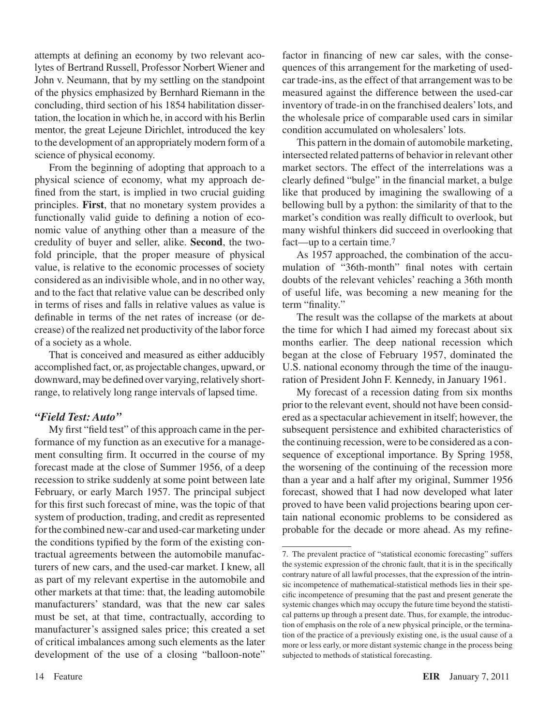attempts at defining an economy by two relevant acolytes of Bertrand Russell, Professor Norbert Wiener and John v. Neumann, that by my settling on the standpoint of the physics emphasized by Bernhard Riemann in the concluding, third section of his 1854 habilitation dissertation, the location in which he, in accord with his Berlin mentor, the great Lejeune Dirichlet, introduced the key to the development of an appropriately modern form of a science of physical economy.

From the beginning of adopting that approach to a physical science of economy, what my approach defined from the start, is implied in two crucial guiding principles. **First**, that no monetary system provides a functionally valid guide to defining a notion of economic value of anything other than a measure of the credulity of buyer and seller, alike. **Second**, the twofold principle, that the proper measure of physical value, is relative to the economic processes of society considered as an indivisible whole, and in no other way, and to the fact that relative value can be described only in terms of rises and falls in relative values as value is definable in terms of the net rates of increase (or decrease) of the realized net productivity of the labor force of a society as a whole.

That is conceived and measured as either adducibly accomplished fact, or, as projectable changes, upward, or downward, may be defined over varying, relatively shortrange, to relatively long range intervals of lapsed time.

#### *"Field Test: Auto"*

My first "field test" of this approach came in the performance of my function as an executive for a management consulting firm. It occurred in the course of my forecast made at the close of Summer 1956, of a deep recession to strike suddenly at some point between late February, or early March 1957. The principal subject for this first such forecast of mine, was the topic of that system of production, trading, and credit as represented forthe combined new-car and used-car marketing under the conditions typified by the form of the existing contractual agreements between the automobile manufacturers of new cars, and the used-car market. I knew, all as part of my relevant expertise in the automobile and other markets at that time: that, the leading automobile manufacturers' standard, was that the new car sales must be set, at that time, contractually, according to manufacturer's assigned sales price; this created a set of critical imbalances among such elements as the later development of the use of a closing "balloon-note"

factor in financing of new car sales, with the consequences of this arrangement for the marketing of usedcar trade-ins, asthe effect of that arrangement wasto be measured against the difference between the used-car inventory of trade-in on the franchised dealers'lots, and the wholesale price of comparable used cars in similar condition accumulated on wholesalers'lots.

This pattern in the domain of automobile marketing, intersected related patterns of behavior in relevant other market sectors. The effect of the interrelations was a clearly defined "bulge" in the financial market, a bulge like that produced by imagining the swallowing of a bellowing bull by a python: the similarity of that to the market's condition was really difficult to overlook, but many wishful thinkers did succeed in overlooking that fact—up to a certain time.<sup>7</sup>

As 1957 approached, the combination of the accumulation of "36th-month" final notes with certain doubts of the relevant vehicles' reaching a 36th month of useful life, was becoming a new meaning for the term "finality."

The result was the collapse of the markets at about the time for which I had aimed my forecast about six months earlier. The deep national recession which began at the close of February 1957, dominated the U.S. national economy through the time of the inauguration of President John F. Kennedy, in January 1961.

My forecast of a recession dating from six months prior to the relevant event, should not have been considered as a spectacular achievement in itself; however, the subsequent persistence and exhibited characteristics of the continuing recession, were to be considered as a consequence of exceptional importance. By Spring 1958, the worsening of the continuing of the recession more than a year and a half after my original, Summer 1956 forecast, showed that I had now developed what later proved to have been valid projections bearing upon certain national economic problems to be considered as probable for the decade or more ahead. As my refine-

<sup>.</sup> The prevalent practice of "statistical economic forecasting" suffers the systemic expression of the chronic fault, that it is in the specifically contrary nature of all lawful processes, that the expression of the intrinsic incompetence of mathematical-statistical methods lies in their specific incompetence of presuming that the past and present generate the systemic changes which may occupy the future time beyond the statistical patterns up through a present date. Thus, for example, the introduction of emphasis on the role of a new physical principle, or the termination of the practice of a previously existing one, is the usual cause of a more or less early, or more distant systemic change in the process being subjected to methods of statistical forecasting.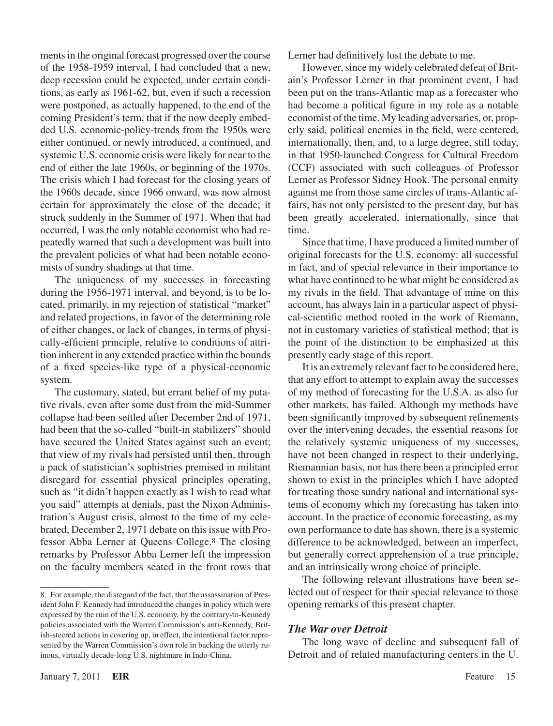ments in the original forecast progressed over the course of the 1958-1959 interval, I had concluded that a new, deep recession could be expected, under certain conditions, as early as 1961-62, but, even if such a recession were postponed, as actually happened, to the end of the coming President's term, that if the now deeply embedded U.S. economic-policy-trends from the 1950s were either continued, or newly introduced, a continued, and systemic U.S. economic crisis were likely for near to the end of either the late 1960s, or beginning of the 1970s. The crisis which I had forecast for the closing years of the 1960s decade, since 1966 onward, was now almost certain for approximately the close of the decade; it struck suddenly in the Summer of 1971. When that had occurred, I was the only notable economist who had repeatedly warned that such a development was built into the prevalent policies of what had been notable economists of sundry shadings at that time.

The uniqueness of my successes in forecasting during the 1956-1971 interval, and beyond, is to be located, primarily, in my rejection of statistical "market" and related projections, in favor of the determining role of either changes, or lack of changes, in terms of physically-efficient principle, relative to conditions of attrition inherent in any extended practice within the bounds of a fixed species-like type of a physical-economic system.

The customary, stated, but errant belief of my putative rivals, even after some dust from the mid-Summer collapse had been settled after December 2nd of 1971, had been that the so-called "built-in stabilizers" should have secured the United States against such an event; that view of my rivals had persisted until then, through a pack of statistician's sophistries premised in militant disregard for essential physical principles operating, such as "it didn't happen exactly as I wish to read what you said" attempts at denials, past the Nixon Administration's August crisis, almost to the time of my celebrated, December 2, 1971 debate on this issue with Professor Abba Lerner at Queens College.<sup>8</sup> The closing remarks by Professor Abba Lerner left the impression on the faculty members seated in the front rows that

Lerner had definitively lost the debate to me.

However, since my widely celebrated defeat of Britain's Professor Lerner in that prominent event, I had been put on the trans-Atlantic map as a forecaster who had become a political figure in my role as a notable economist of the time. My leading adversaries, or, properly said, political enemies in the field, were centered, internationally, then, and, to a large degree, still today, in that 1950-launched Congress for Cultural Freedom (CCF) associated with such colleagues of Professor Lerner as Professor Sidney Hook. The personal enmity against me from those same circles of trans-Atlantic affairs, has not only persisted to the present day, but has been greatly accelerated, internationally, since that time.

Since that time, I have produced a limited number of original forecasts for the U.S. economy: all successful in fact, and of special relevance in their importance to what have continued to be what might be considered as my rivals in the field. That advantage of mine on this account, has always lain in a particular aspect of physical-scientific method rooted in the work of Riemann, not in customary varieties of statistical method; that is the point of the distinction to be emphasized at this presently early stage of this report.

It is an extremely relevant fact to be considered here, that any effort to attempt to explain away the successes of my method of forecasting for the U.S.A. as also for other markets, has failed. Although my methods have been significantly improved by subsequent refinements over the intervening decades, the essential reasons for the relatively systemic uniqueness of my successes, have not been changed in respect to their underlying, Riemannian basis, nor has there been a principled error shown to exist in the principles which I have adopted for treating those sundry national and international systems of economy which my forecasting has taken into account. In the practice of economic forecasting, as my own performance to date has shown, there is a systemic difference to be acknowledged, between an imperfect, but generally correct apprehension of a true principle, and an intrinsically wrong choice of principle.

The following relevant illustrations have been selected out of respect for their special relevance to those opening remarks of this present chapter.

#### *The War over Detroit*

The long wave of decline and subsequent fall of Detroit and of related manufacturing centers in the U.

<sup>.</sup> For example, the disregard of the fact, that the assassination of President John F. Kennedy had introduced the changes in policy which were expressed by the ruin of the U.S. economy, by the contrary-to-Kennedy policies associated with the Warren Commission's anti-Kennedy, British-steered actions in covering up, in effect, the intentional factor represented by the Warren Commission's own role in backing the utterly ruinous, virtually decade-long U.S. nightmare in Indo-China.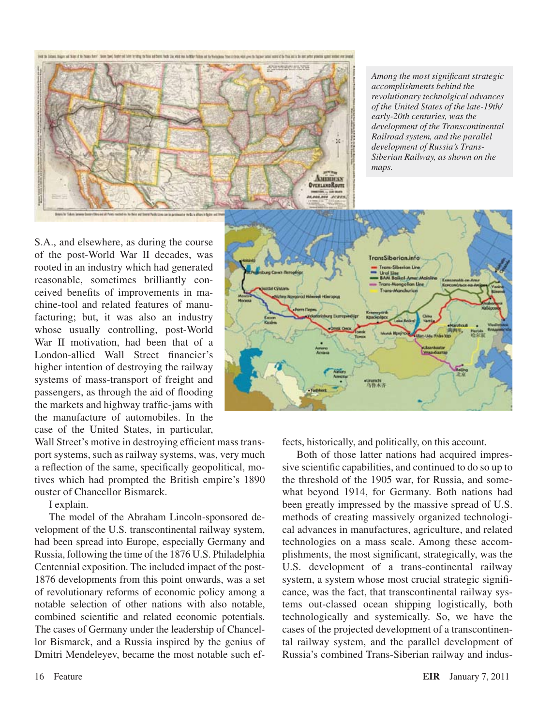

*Among the most significant strategic accomplishments behind the revolutionary technolgical advances of the United States of the late-19th/ early-20th centuries, was the development of the Transcontinental Railroad system, and the parallel development of Russia's Trans-Siberian Railway, as shown on the maps.* 

S.A., and elsewhere, as during the course of the post-World War II decades, was rooted in an industry which had generated reasonable, sometimes brilliantly conceived benefits of improvements in machine-tool and related features of manufacturing; but, it was also an industry whose usually controlling, post-World War II motivation, had been that of a London-allied Wall Street financier's higher intention of destroying the railway systems of mass-transport of freight and passengers, as through the aid of flooding the markets and highway traffic-jams with the manufacture of automobiles. In the case of the United States, in particular,

Wall Street's motive in destroying efficient mass transport systems, such as railway systems, was, very much a reflection of the same, specifically geopolitical, motives which had prompted the British empire's 1890 ouster of Chancellor Bismarck.

I explain.

The model of the Abraham Lincoln-sponsored development of the U.S. transcontinental railway system, had been spread into Europe, especially Germany and Russia, following the time of the 1876 U.S. Philadelphia Centennial exposition. The included impact of the post-1876 developments from this point onwards, was a set of revolutionary reforms of economic policy among a notable selection of other nations with also notable, combined scientific and related economic potentials. The cases of Germany under the leadership of Chancellor Bismarck, and a Russia inspired by the genius of Dmitri Mendeleyev, became the most notable such ef-



fects, historically, and politically, on this account.

Both of those latter nations had acquired impressive scientific capabilities, and continued to do so up to the threshold of the 1905 war, for Russia, and somewhat beyond 1914, for Germany. Both nations had been greatly impressed by the massive spread of U.S. methods of creating massively organized technological advances in manufactures, agriculture, and related technologies on a mass scale. Among these accomplishments, the most significant, strategically, was the U.S. development of a trans-continental railway system, a system whose most crucial strategic significance, was the fact, that transcontinental railway systems out-classed ocean shipping logistically, both technologically and systemically. So, we have the cases of the projected development of a transcontinental railway system, and the parallel development of Russia's combined Trans-Siberian railway and indus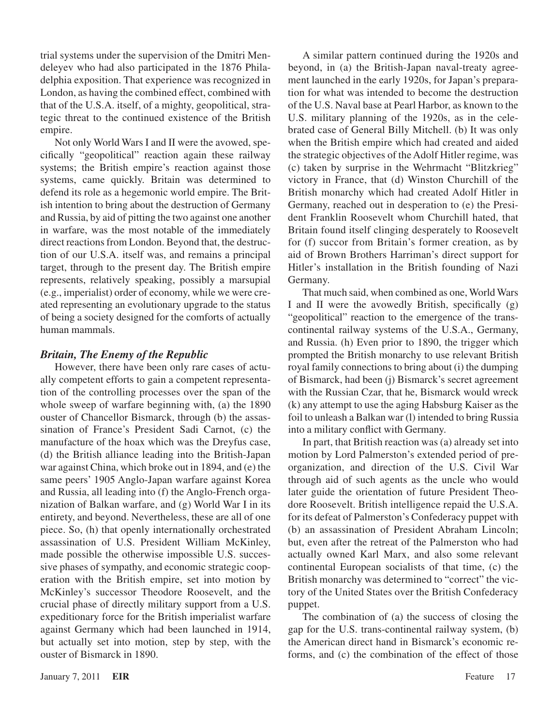trial systems under the supervision of the Dmitri Mendeleyev who had also participated in the 1876 Philadelphia exposition. That experience was recognized in London, as having the combined effect, combined with that of the U.S.A. itself, of a mighty, geopolitical, strategic threat to the continued existence of the British empire.

Not only World Wars I and II were the avowed, specifically "geopolitical" reaction again these railway systems; the British empire's reaction against those systems, came quickly. Britain was determined to defend its role as a hegemonic world empire. The British intention to bring about the destruction of Germany and Russia, by aid of pitting the two against one another in warfare, was the most notable of the immediately direct reactions from London. Beyond that, the destruction of our U.S.A. itself was, and remains a principal target, through to the present day. The British empire represents, relatively speaking, possibly a marsupial (e.g., imperialist) order of economy, while we were created representing an evolutionary upgrade to the status of being a society designed for the comforts of actually human mammals.

#### *Britain, The Enemy of the Republic*

However, there have been only rare cases of actually competent efforts to gain a competent representation of the controlling processes over the span of the whole sweep of warfare beginning with, (a) the 1890 ouster of Chancellor Bismarck, through (b) the assassination of France's President Sadi Carnot, (c) the manufacture of the hoax which was the Dreyfus case, (d) the British alliance leading into the British-Japan war against China, which broke out in 1894, and (e) the same peers' 1905 Anglo-Japan warfare against Korea and Russia, all leading into (f) the Anglo-French organization of Balkan warfare, and (g) World War I in its entirety, and beyond. Nevertheless, these are all of one piece. So, (h) that openly internationally orchestrated assassination of U.S. President William McKinley, made possible the otherwise impossible U.S. successive phases of sympathy, and economic strategic cooperation with the British empire, set into motion by McKinley's successor Theodore Roosevelt, and the crucial phase of directly military support from a U.S. expeditionary force for the British imperialist warfare against Germany which had been launched in 1914, but actually set into motion, step by step, with the ouster of Bismarck in 1890.

A similar pattern continued during the 1920s and beyond, in (a) the British-Japan naval-treaty agreement launched in the early 1920s, for Japan's preparation for what was intended to become the destruction of the U.S. Naval base at Pearl Harbor, as known to the U.S. military planning of the 1920s, as in the celebrated case of General Billy Mitchell. (b) It was only when the British empire which had created and aided the strategic objectives of theAdolf Hitler regime, was (c) taken by surprise in the Wehrmacht "Blitzkrieg" victory in France, that (d) Winston Churchill of the British monarchy which had created Adolf Hitler in Germany, reached out in desperation to (e) the President Franklin Roosevelt whom Churchill hated, that Britain found itself clinging desperately to Roosevelt for (f) succor from Britain's former creation, as by aid of Brown Brothers Harriman's direct support for Hitler's installation in the British founding of Nazi Germany.

That much said, when combined as one, World Wars I and II were the avowedly British, specifically (g) "geopolitical" reaction to the emergence of the transcontinental railway systems of the U.S.A., Germany, and Russia. (h) Even prior to 1890, the trigger which prompted the British monarchy to use relevant British royal family connections to bring about (i) the dumping of Bismarck, had been (j) Bismarck's secret agreement with the Russian Czar, that he, Bismarck would wreck (k) any attempt to use the aging Habsburg Kaiser as the foil to unleash a Balkan war (l) intended to bring Russia into a military conflict with Germany.

In part, that British reaction was (a) already set into motion by Lord Palmerston's extended period of preorganization, and direction of the U.S. Civil War through aid of such agents as the uncle who would later guide the orientation of future President Theodore Roosevelt. British intelligence repaid the U.S.A. for its defeat of Palmerston's Confederacy puppet with (b) an assassination of President Abraham Lincoln; but, even after the retreat of the Palmerston who had actually owned Karl Marx, and also some relevant continental European socialists of that time, (c) the British monarchy was determined to "correct" the victory of the United States over the British Confederacy puppet.

The combination of (a) the success of closing the gap for the U.S. trans-continental railway system, (b) the American direct hand in Bismarck's economic reforms, and (c) the combination of the effect of those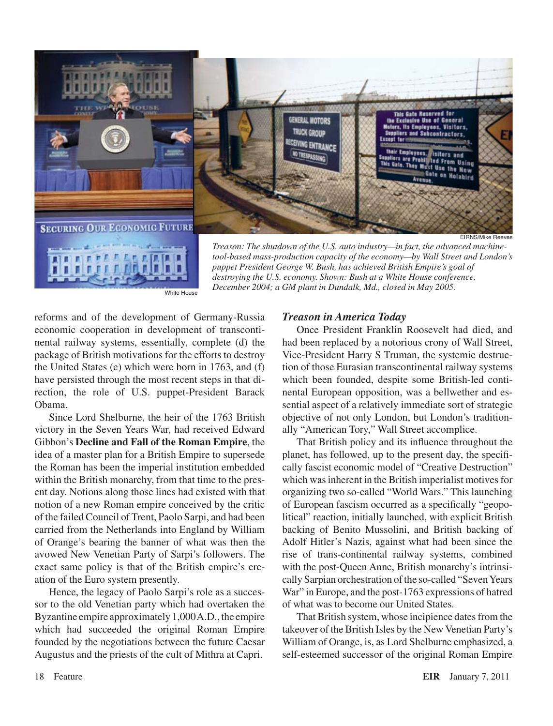

White House

*Treason: The shutdown of the U.S. auto industry—in fact, the advanced machinetool-based mass-production capacity of the economy—by Wall Street and London's puppet President George W. Bush, has achieved British Empire's goal of destroying the U.S. economy. Shown: Bush at a White House conference, December 2004; a GM plant in Dundalk, Md., closed in May 2005.*

reforms and of the development of Germany-Russia economic cooperation in development of transcontinental railway systems, essentially, complete (d) the package of British motivations for the efforts to destroy the United States (e) which were born in 1763, and (f) have persisted through the most recent steps in that direction, the role of U.S. puppet-President Barack Obama.

Since Lord Shelburne, the heir of the 1763 British victory in the Seven Years War, had received Edward Gibbon's **Decline and Fall of the Roman Empire**, the idea of a master plan for a British Empire to supersede the Roman has been the imperial institution embedded within the British monarchy, from that time to the present day. Notions along those lines had existed with that notion of a new Roman empire conceived by the critic of the failed Council of Trent, Paolo Sarpi, and had been carried from the Netherlands into England by William of Orange's bearing the banner of what was then the avowed New Venetian Party of Sarpi's followers. The exact same policy is that of the British empire's creation of the Euro system presently.

Hence, the legacy of Paolo Sarpi's role as a successor to the old Venetian party which had overtaken the Byzantine empire approximately 1,000 A.D., the empire which had succeeded the original Roman Empire founded by the negotiations between the future Caesar Augustus and the priests of the cult of Mithra at Capri.

#### *Treason in America Today*

Once President Franklin Roosevelt had died, and had been replaced by a notorious crony of Wall Street, Vice-President Harry S Truman, the systemic destruction of those Eurasian transcontinental railway systems which been founded, despite some British-led continental European opposition, was a bellwether and essential aspect of a relatively immediate sort of strategic objective of not only London, but London's traditionally "American Tory," Wall Street accomplice.

That British policy and its influence throughout the planet, has followed, up to the present day, the specifically fascist economic model of "Creative Destruction" which was inherent in the British imperialist motives for organizing two so-called "World Wars." This launching of European fascism occurred as a specifically "geopolitical" reaction, initially launched, with explicit British backing of Benito Mussolini, and British backing of Adolf Hitler's Nazis, against what had been since the rise of trans-continental railway systems, combined with the post-Queen Anne, British monarchy's intrinsically Sarpian orchestration of the so-called "Seven Years" War" in Europe, and the post-1763 expressions of hatred of what was to become our United States.

That British system, whose incipience dates from the takeover of the British Isles by the New Venetian Party's William of Orange, is, as Lord Shelburne emphasized, a self-esteemed successor of the original Roman Empire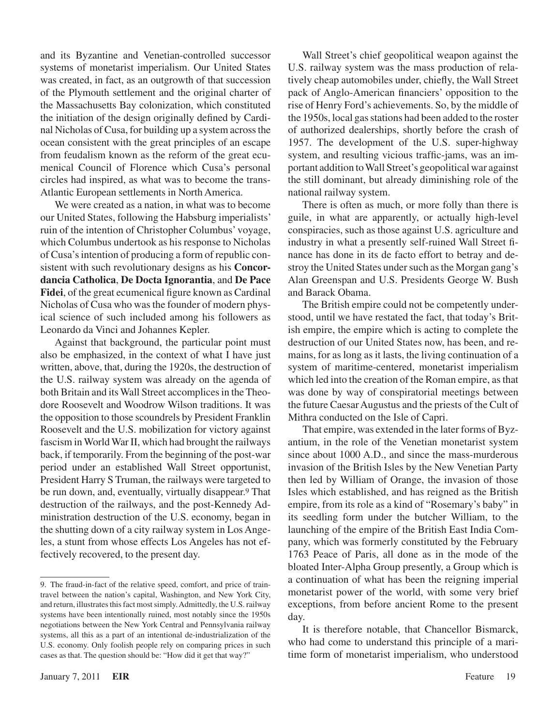and its Byzantine and Venetian-controlled successor systems of monetarist imperialism. Our United States was created, in fact, as an outgrowth of that succession of the Plymouth settlement and the original charter of the Massachusetts Bay colonization, which constituted the initiation of the design originally defined by Cardinal Nicholas of Cusa, for building up a system acrossthe ocean consistent with the great principles of an escape from feudalism known as the reform of the great ecumenical Council of Florence which Cusa's personal circles had inspired, as what was to become the trans-Atlantic European settlements in North America.

We were created as a nation, in what was to become our United States, following the Habsburg imperialists' ruin of the intention of Christopher Columbus' voyage, which Columbus undertook as his response to Nicholas of Cusa's intention of producing a form of republic consistent with such revolutionary designs as his **Concordancia Catholica**, **De Docta Ignorantia**, and **De Pace Fidei**, of the great ecumenical figure known as Cardinal Nicholas of Cusa who wasthe founder of modern physical science of such included among his followers as Leonardo da Vinci and Johannes Kepler.

Against that background, the particular point must also be emphasized, in the context of what I have just written, above, that, during the 1920s, the destruction of the U.S. railway system was already on the agenda of both Britain and its Wall Street accomplices in the Theodore Roosevelt and Woodrow Wilson traditions. It was the opposition to those scoundrels by President Franklin Roosevelt and the U.S. mobilization for victory against fascism inWorldWar II, which had brought the railways back, if temporarily. From the beginning of the post-war period under an established Wall Street opportunist, President Harry S Truman, the railways were targeted to be run down, and, eventually, virtually disappear.<sup>9</sup> That destruction of the railways, and the post-Kennedy Administration destruction of the U.S. economy, began in the shutting down of a city railway system in Los Angeles, a stunt from whose effects Los Angeles has not effectively recovered, to the present day.

Wall Street's chief geopolitical weapon against the U.S. railway system was the mass production of relatively cheap automobiles under, chiefly, the Wall Street pack of Anglo-American financiers' opposition to the rise of Henry Ford's achievements. So, by the middle of the 1950s, local gasstations had been added to the roster of authorized dealerships, shortly before the crash of 1957. The development of the U.S. super-highway system, and resulting vicious traffic-jams, was an important addition toWall Street's geopolitical war against the still dominant, but already diminishing role of the national railway system.

There is often as much, or more folly than there is guile, in what are apparently, or actually high-level conspiracies, such as those against U.S. agriculture and industry in what a presently self-ruined Wall Street finance has done in its de facto effort to betray and destroy the United States under such as the Morgan gang's Alan Greenspan and U.S. Presidents George W. Bush and Barack Obama.

The British empire could not be competently understood, until we have restated the fact, that today's British empire, the empire which is acting to complete the destruction of our United States now, has been, and remains, for as long as it lasts, the living continuation of a system of maritime-centered, monetarist imperialism which led into the creation of the Roman empire, as that was done by way of conspiratorial meetings between the future CaesarAugustus and the priests of the Cult of Mithra conducted on the Isle of Capri.

That empire, was extended in the later forms of Byzantium, in the role of the Venetian monetarist system since about 1000 A.D., and since the mass-murderous invasion of the British Isles by the New Venetian Party then led by William of Orange, the invasion of those Isles which established, and has reigned as the British empire, from its role as a kind of "Rosemary's baby" in its seedling form under the butcher William, to the launching of the empire of the British East India Company, which was formerly constituted by the February 1763 Peace of Paris, all done as in the mode of the bloated Inter-Alpha Group presently, a Group which is a continuation of what has been the reigning imperial monetarist power of the world, with some very brief exceptions, from before ancient Rome to the present day.

It is therefore notable, that Chancellor Bismarck, who had come to understand this principle of a maritime form of monetarist imperialism, who understood

<sup>.</sup> The fraud-in-fact of the relative speed, comfort, and price of traintravel between the nation's capital, Washington, and New York City, and return, illustrates this fact most simply. Admittedly, the U.S. railway systems have been intentionally ruined, most notably since the 1950s negotiations between the New York Central and Pennsylvania railway systems, all this as a part of an intentional de-industrialization of the U.S. economy. Only foolish people rely on comparing prices in such cases as that. The question should be: "How did it get that way?"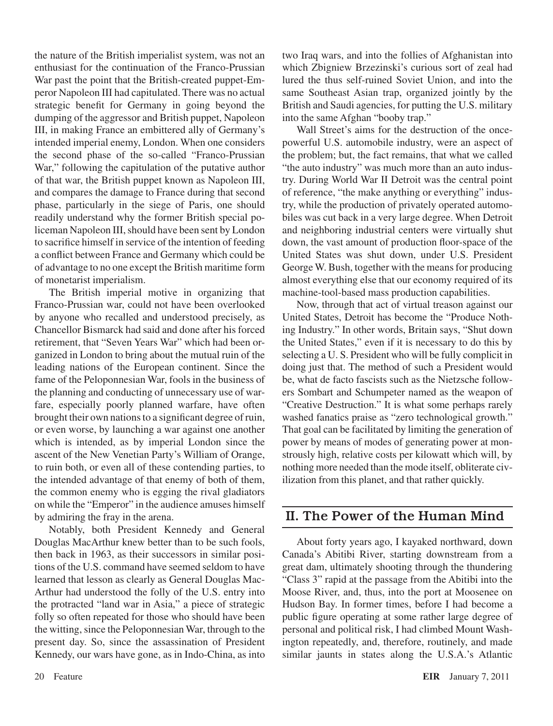the nature of the British imperialist system, was not an enthusiast for the continuation of the Franco-Prussian War past the point that the British-created puppet-Emperor Napoleon III had capitulated. There was no actual strategic benefit for Germany in going beyond the dumping of the aggressor and British puppet, Napoleon III, in making France an embittered ally of Germany's intended imperial enemy, London. When one considers the second phase of the so-called "Franco-Prussian War," following the capitulation of the putative author of that war, the British puppet known as Napoleon III, and compares the damage to France during that second phase, particularly in the siege of Paris, one should readily understand why the former British special policeman Napoleon III, should have been sent by London to sacrifice himself in service of the intention of feeding a conflict between France and Germany which could be of advantage to no one except the British maritime form of monetarist imperialism.

The British imperial motive in organizing that Franco-Prussian war, could not have been overlooked by anyone who recalled and understood precisely, as Chancellor Bismarck had said and done after his forced retirement, that "Seven Years War" which had been organized in London to bring about the mutual ruin of the leading nations of the European continent. Since the fame of the Peloponnesian War, fools in the business of the planning and conducting of unnecessary use of warfare, especially poorly planned warfare, have often brought their own nations to a significant degree of ruin, or even worse, by launching a war against one another which is intended, as by imperial London since the ascent of the New Venetian Party's William of Orange, to ruin both, or even all of these contending parties, to the intended advantage of that enemy of both of them, the common enemy who is egging the rival gladiators on while the "Emperor" in the audience amuses himself by admiring the fray in the arena.

Notably, both President Kennedy and General Douglas MacArthur knew better than to be such fools, then back in 1963, as their successors in similar positions of the U.S. command have seemed seldom to have learned that lesson as clearly as General Douglas Mac-Arthur had understood the folly of the U.S. entry into the protracted "land war in Asia," a piece of strategic folly so often repeated for those who should have been the witting, since the Peloponnesian War, through to the present day. So, since the assassination of President Kennedy, our wars have gone, as in Indo-China, as into two Iraq wars, and into the follies of Afghanistan into which Zbigniew Brzezinski's curious sort of zeal had lured the thus self-ruined Soviet Union, and into the same Southeast Asian trap, organized jointly by the British and Saudi agencies, for putting the U.S. military into the same Afghan "booby trap."

Wall Street's aims for the destruction of the oncepowerful U.S. automobile industry, were an aspect of the problem; but, the fact remains, that what we called "the auto industry" was much more than an auto industry. During World War II Detroit was the central point of reference, "the make anything or everything" industry, while the production of privately operated automobiles was cut back in a very large degree. When Detroit and neighboring industrial centers were virtually shut down, the vast amount of production floor-space of the United States was shut down, under U.S. President George W. Bush, together with the means for producing almost everything else that our economy required of its machine-tool-based mass production capabilities.

Now, through that act of virtual treason against our United States, Detroit has become the "Produce Nothing Industry." In other words, Britain says, "Shut down the United States," even if it is necessary to do this by selecting a U. S. President who will be fully complicit in doing just that. The method of such a President would be, what de facto fascists such as the Nietzsche followers Sombart and Schumpeter named as the weapon of "Creative Destruction." It is what some perhaps rarely washed fanatics praise as "zero technological growth." That goal can be facilitated by limiting the generation of power by means of modes of generating power at monstrously high, relative costs per kilowatt which will, by nothing more needed than the mode itself, obliterate civilization from this planet, and that rather quickly.

## II. The Power of the Human Mind

About forty years ago, I kayaked northward, down Canada's Abitibi River, starting downstream from a great dam, ultimately shooting through the thundering "Class 3" rapid at the passage from the Abitibi into the Moose River, and, thus, into the port at Moosenee on Hudson Bay. In former times, before I had become a public figure operating at some rather large degree of personal and political risk, I had climbed Mount Washington repeatedly, and, therefore, routinely, and made similar jaunts in states along the U.S.A.'s Atlantic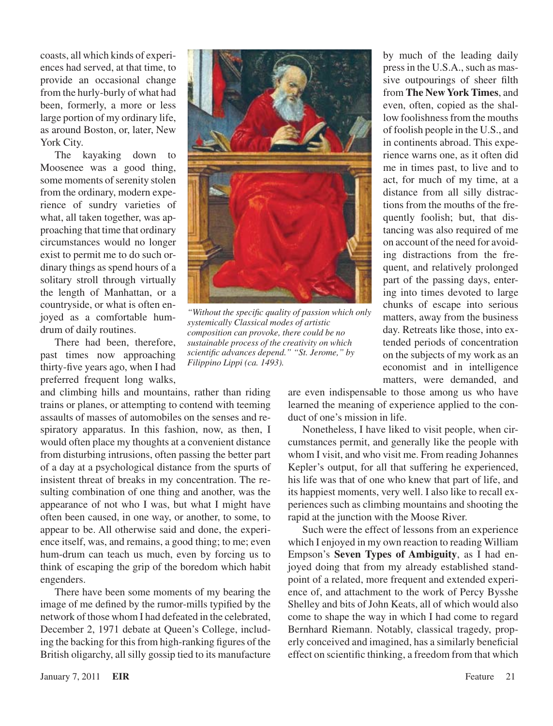coasts, all which kinds of experiences had served, at that time, to provide an occasional change from the hurly-burly of what had been, formerly, a more or less large portion of my ordinary life, as around Boston, or, later, New York City.

The kayaking down to Moosenee was a good thing, some moments of serenity stolen from the ordinary, modern experience of sundry varieties of what, all taken together, was approaching that time that ordinary circumstances would no longer exist to permit me to do such ordinary things as spend hours of a solitary stroll through virtually the length of Manhattan, or a countryside, or what is often enjoyed as a comfortable humdrum of daily routines.

There had been, therefore, past times now approaching thirty-five years ago, when I had preferred frequent long walks,

and climbing hills and mountains, rather than riding trains or planes, or attempting to contend with teeming assaults of masses of automobiles on the senses and respiratory apparatus. In this fashion, now, as then, I would often place my thoughts at a convenient distance from disturbing intrusions, often passing the better part of a day at a psychological distance from the spurts of insistent threat of breaks in my concentration. The resulting combination of one thing and another, was the appearance of not who I was, but what I might have often been caused, in one way, or another, to some, to appear to be. All otherwise said and done, the experience itself, was, and remains, a good thing; to me; even hum-drum can teach us much, even by forcing us to think of escaping the grip of the boredom which habit engenders.

There have been some moments of my bearing the image of me defined by the rumor-mills typified by the network of those whom I had defeated in the celebrated, December 2, 1971 debate at Queen's College, including the backing for this from high-ranking figures of the British oligarchy, all silly gossip tied to its manufacture



*"Without the specific quality of passion which only systemically Classical modes of artistic composition can provoke, there could be no sustainable process of the creativity on which scientific advances depend." "St. Jerome," by Filippino Lippi (ca. 1493).*

by much of the leading daily press in the U.S.A., such as massive outpourings of sheer filth from **The New York Times**, and even, often, copied as the shallow foolishness from the mouths of foolish people in the U.S., and in continents abroad. This experience warns one, as it often did me in times past, to live and to act, for much of my time, at a distance from all silly distractions from the mouths of the frequently foolish; but, that distancing was also required of me on account of the need for avoiding distractions from the frequent, and relatively prolonged part of the passing days, entering into times devoted to large chunks of escape into serious matters, away from the business day. Retreats like those, into extended periods of concentration on the subjects of my work as an economist and in intelligence matters, were demanded, and

are even indispensable to those among us who have learned the meaning of experience applied to the conduct of one's mission in life.

Nonetheless, I have liked to visit people, when circumstances permit, and generally like the people with whom I visit, and who visit me. From reading Johannes Kepler's output, for all that suffering he experienced, his life was that of one who knew that part of life, and its happiest moments, very well. I also like to recall experiences such as climbing mountains and shooting the rapid at the junction with the Moose River.

Such were the effect of lessons from an experience which I enjoyed in my own reaction to reading William Empson's **Seven Types of Ambiguity**, as I had enjoyed doing that from my already established standpoint of a related, more frequent and extended experience of, and attachment to the work of Percy Bysshe Shelley and bits of John Keats, all of which would also come to shape the way in which I had come to regard Bernhard Riemann. Notably, classical tragedy, properly conceived and imagined, has a similarly beneficial effect on scientific thinking, a freedom from that which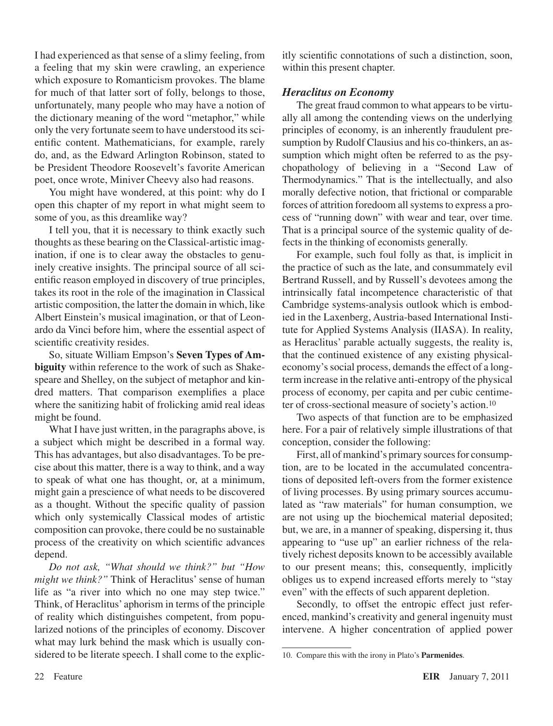I had experienced as that sense of a slimy feeling, from a feeling that my skin were crawling, an experience which exposure to Romanticism provokes. The blame for much of that latter sort of folly, belongs to those, unfortunately, many people who may have a notion of the dictionary meaning of the word "metaphor," while only the very fortunate seem to have understood its scientific content. Mathematicians, for example, rarely do, and, as the Edward Arlington Robinson, stated to be President Theodore Roosevelt's favorite American poet, once wrote, Miniver Cheevy also had reasons.

You might have wondered, at this point: why do I open this chapter of my report in what might seem to some of you, as this dreamlike way?

I tell you, that it is necessary to think exactly such thoughts asthese bearing on the Classical-artistic imagination, if one is to clear away the obstacles to genuinely creative insights. The principal source of all scientific reason employed in discovery of true principles, takes its root in the role of the imagination in Classical artistic composition, the latter the domain in which, like Albert Einstein's musical imagination, or that of Leonardo da Vinci before him, where the essential aspect of scientific creativity resides.

So, situate William Empson's **Seven Types of Ambiguity** within reference to the work of such as Shakespeare and Shelley, on the subject of metaphor and kindred matters. That comparison exemplifies a place where the sanitizing habit of frolicking amid real ideas might be found.

What I have just written, in the paragraphs above, is a subject which might be described in a formal way. This has advantages, but also disadvantages. To be precise about this matter, there is a way to think, and a way to speak of what one has thought, or, at a minimum, might gain a prescience of what needs to be discovered as a thought. Without the specific quality of passion which only systemically Classical modes of artistic composition can provoke, there could be no sustainable process of the creativity on which scientific advances depend.

*Do not ask, "What should we think?" but "How might we think?"* Think of Heraclitus' sense of human life as "a river into which no one may step twice." Think, of Heraclitus' aphorism in terms of the principle of reality which distinguishes competent, from popularized notions of the principles of economy. Discover what may lurk behind the mask which is usually considered to be literate speech. I shall come to the explicitly scientific connotations of such a distinction, soon, within this present chapter.

#### *Heraclitus on Economy*

The great fraud common to what appears to be virtually all among the contending views on the underlying principles of economy, is an inherently fraudulent presumption by Rudolf Clausius and his co-thinkers, an assumption which might often be referred to as the psychopathology of believing in a "Second Law of Thermodynamics." That is the intellectually, and also morally defective notion, that frictional or comparable forces of attrition foredoom all systems to express a process of "running down" with wear and tear, over time. That is a principal source of the systemic quality of defects in the thinking of economists generally.

For example, such foul folly as that, is implicit in the practice of such as the late, and consummately evil Bertrand Russell, and by Russell's devotees among the intrinsically fatal incompetence characteristic of that Cambridge systems-analysis outlook which is embodied in the Laxenberg, Austria-based International Institute for Applied Systems Analysis (IIASA). In reality, as Heraclitus' parable actually suggests, the reality is, that the continued existence of any existing physicaleconomy's social process, demands the effect of a longterm increase in the relative anti-entropy of the physical process of economy, per capita and per cubic centimeter of cross-sectional measure of society's action.10

Two aspects of that function are to be emphasized here. For a pair of relatively simple illustrations of that conception, consider the following:

First, all of mankind's primary sources for consumption, are to be located in the accumulated concentrations of deposited left-overs from the former existence of living processes. By using primary sources accumulated as "raw materials" for human consumption, we are not using up the biochemical material deposited; but, we are, in a manner of speaking, dispersing it, thus appearing to "use up" an earlier richness of the relatively richest deposits known to be accessibly available to our present means; this, consequently, implicitly obliges us to expend increased efforts merely to "stay even" with the effects of such apparent depletion.

Secondly, to offset the entropic effect just referenced, mankind's creativity and general ingenuity must intervene. A higher concentration of applied power

<sup>10.</sup> Compare this with the irony in Plato's **Parmenides**.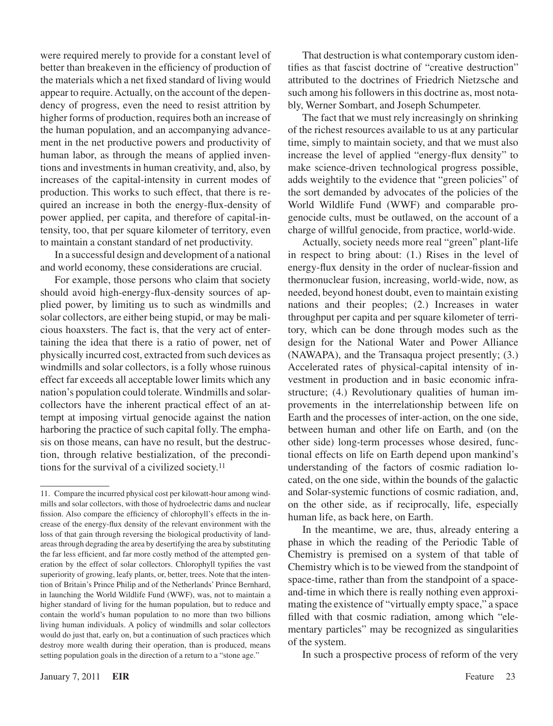were required merely to provide for a constant level of better than breakeven in the efficiency of production of the materials which a net fixed standard of living would appear to require. Actually, on the account of the dependency of progress, even the need to resist attrition by higher forms of production, requires both an increase of the human population, and an accompanying advancement in the net productive powers and productivity of human labor, as through the means of applied inventions and investments in human creativity, and, also, by increases of the capital-intensity in current modes of production. This works to such effect, that there is required an increase in both the energy-flux-density of power applied, per capita, and therefore of capital-intensity, too, that per square kilometer of territory, even to maintain a constant standard of net productivity.

In a successful design and development of a national and world economy, these considerations are crucial.

For example, those persons who claim that society should avoid high-energy-flux-density sources of applied power, by limiting us to such as windmills and solar collectors, are either being stupid, or may be malicious hoaxsters. The fact is, that the very act of entertaining the idea that there is a ratio of power, net of physically incurred cost, extracted from such devices as windmills and solar collectors, is a folly whose ruinous effect far exceeds all acceptable lower limits which any nation's population could tolerate.Windmills and solarcollectors have the inherent practical effect of an attempt at imposing virtual genocide against the nation harboring the practice of such capital folly. The emphasis on those means, can have no result, but the destruction, through relative bestialization, of the preconditions for the survival of a civilized society.11

That destruction is what contemporary custom identifies as that fascist doctrine of "creative destruction" attributed to the doctrines of Friedrich Nietzsche and such among his followers in this doctrine as, most notably, Werner Sombart, and Joseph Schumpeter.

The fact that we must rely increasingly on shrinking of the richest resources available to us at any particular time, simply to maintain society, and that we must also increase the level of applied "energy-flux density" to make science-driven technological progress possible, adds weightily to the evidence that "green policies" of the sort demanded by advocates of the policies of the World Wildlife Fund (WWF) and comparable progenocide cults, must be outlawed, on the account of a charge of willful genocide, from practice, world-wide.

Actually, society needs more real "green" plant-life in respect to bring about: (1.) Rises in the level of energy-flux density in the order of nuclear-fission and thermonuclear fusion, increasing, world-wide, now, as needed, beyond honest doubt, even to maintain existing nations and their peoples; (2.) Increases in water throughput per capita and per square kilometer of territory, which can be done through modes such as the design for the National Water and Power Alliance (NAWAPA), and the Transaqua project presently; (3.) Accelerated rates of physical-capital intensity of investment in production and in basic economic infrastructure; (4.) Revolutionary qualities of human improvements in the interrelationship between life on Earth and the processes of inter-action, on the one side, between human and other life on Earth, and (on the other side) long-term processes whose desired, functional effects on life on Earth depend upon mankind's understanding of the factors of cosmic radiation located, on the one side, within the bounds of the galactic and Solar-systemic functions of cosmic radiation, and, on the other side, as if reciprocally, life, especially human life, as back here, on Earth.

In the meantime, we are, thus, already entering a phase in which the reading of the Periodic Table of Chemistry is premised on a system of that table of Chemistry which is to be viewed from the standpoint of space-time, rather than from the standpoint of a spaceand-time in which there is really nothing even approximating the existence of "virtually empty space," a space filled with that cosmic radiation, among which "elementary particles" may be recognized as singularities of the system.

In such a prospective process of reform of the very

<sup>11.</sup> Compare the incurred physical cost per kilowatt-hour among windmills and solar collectors, with those of hydroelectric dams and nuclear fission. Also compare the efficiency of chlorophyll's effects in the increase of the energy-flux density of the relevant environment with the loss of that gain through reversing the biological productivity of landareasthrough degrading the area by desertifying the area by substituting the far less efficient, and far more costly method of the attempted generation by the effect of solar collectors. Chlorophyll typifies the vast superiority of growing, leafy plants, or, better, trees. Note that the intention of Britain's Prince Philip and of the Netherlands' Prince Bernhard, in launching the World Wildlife Fund (WWF), was, not to maintain a higher standard of living for the human population, but to reduce and contain the world's human population to no more than two billions living human individuals. A policy of windmills and solar collectors would do just that, early on, but a continuation of such practices which destroy more wealth during their operation, than is produced, means setting population goals in the direction of a return to a "stone age."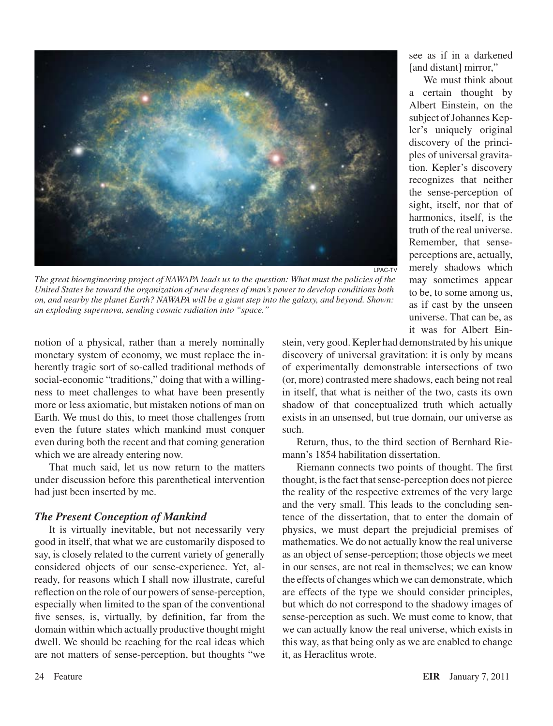

LPAC-TV *The great bioengineering project of NAWAPA leads us to the question: What must the policies of the United States be toward the organization of new degrees of man's power to develop conditions both on, and nearby the planet Earth? NAWAPA will be a giant step into the galaxy, and beyond. Shown: an exploding supernova, sending cosmic radiation into "space."*

a certain thought by Albert Einstein, on the subject of Johannes Kepler's uniquely original discovery of the principles of universal gravitation. Kepler's discovery recognizes that neither the sense-perception of sight, itself, nor that of harmonics, itself, is the truth of the real universe. Remember, that senseperceptions are, actually,

see as if in a darkened [and distant] mirror,"

We must think about

merely shadows which may sometimes appear to be, to some among us, as if cast by the unseen universe. That can be, as it was for Albert Ein-

notion of a physical, rather than a merely nominally monetary system of economy, we must replace the inherently tragic sort of so-called traditional methods of social-economic "traditions," doing that with a willingness to meet challenges to what have been presently more or less axiomatic, but mistaken notions of man on Earth. We must do this, to meet those challenges from even the future states which mankind must conquer even during both the recent and that coming generation which we are already entering now.

That much said, let us now return to the matters under discussion before this parenthetical intervention had just been inserted by me.

#### *The Present Conception of Mankind*

It is virtually inevitable, but not necessarily very good in itself, that what we are customarily disposed to say, is closely related to the current variety of generally considered objects of our sense-experience. Yet, already, for reasons which I shall now illustrate, careful reflection on the role of our powers of sense-perception, especially when limited to the span of the conventional five senses, is, virtually, by definition, far from the domain within which actually productive thought might dwell. We should be reaching for the real ideas which are not matters of sense-perception, but thoughts "we stein, very good. Kepler had demonstrated by his unique discovery of universal gravitation: it is only by means of experimentally demonstrable intersections of two (or, more) contrasted mere shadows, each being not real in itself, that what is neither of the two, casts its own shadow of that conceptualized truth which actually exists in an unsensed, but true domain, our universe as such.

Return, thus, to the third section of Bernhard Riemann's 1854 habilitation dissertation.

Riemann connects two points of thought. The first thought, is the fact that sense-perception does not pierce the reality of the respective extremes of the very large and the very small. This leads to the concluding sentence of the dissertation, that to enter the domain of physics, we must depart the prejudicial premises of mathematics. We do not actually know the real universe as an object of sense-perception; those objects we meet in our senses, are not real in themselves; we can know the effects of changes which we can demonstrate, which are effects of the type we should consider principles, but which do not correspond to the shadowy images of sense-perception as such. We must come to know, that we can actually know the real universe, which exists in this way, as that being only as we are enabled to change it, as Heraclitus wrote.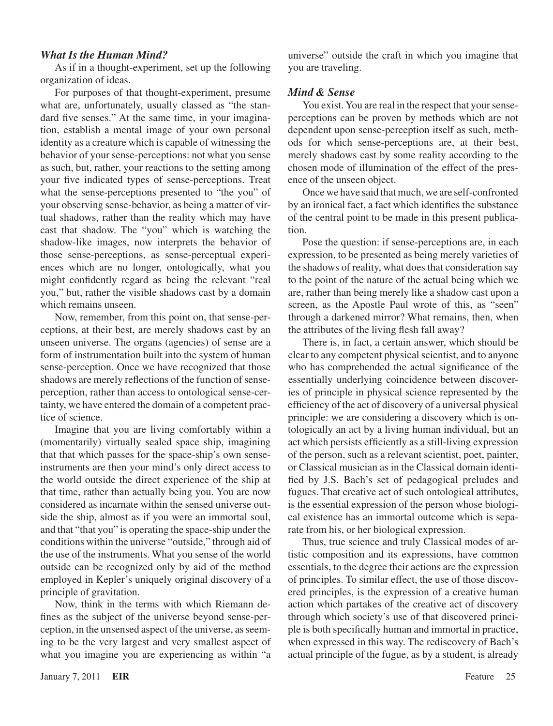#### *What Is the Human Mind?*

As if in a thought-experiment, set up the following organization of ideas.

For purposes of that thought-experiment, presume what are, unfortunately, usually classed as "the standard five senses." At the same time, in your imagination, establish a mental image of your own personal identity as a creature which is capable of witnessing the behavior of your sense-perceptions: not what you sense as such, but, rather, your reactions to the setting among your five indicated types of sense-perceptions. Treat what the sense-perceptions presented to "the you" of your observing sense-behavior, as being a matter of virtual shadows, rather than the reality which may have cast that shadow. The "you" which is watching the shadow-like images, now interprets the behavior of those sense-perceptions, as sense-perceptual experiences which are no longer, ontologically, what you might confidently regard as being the relevant "real you," but, rather the visible shadows cast by a domain which remains unseen.

Now, remember, from this point on, that sense-perceptions, at their best, are merely shadows cast by an unseen universe. The organs (agencies) of sense are a form of instrumentation built into the system of human sense-perception. Once we have recognized that those shadows are merely reflections of the function of senseperception, rather than access to ontological sense-certainty, we have entered the domain of a competent practice of science.

Imagine that you are living comfortably within a (momentarily) virtually sealed space ship, imagining that that which passes for the space-ship's own senseinstruments are then your mind's only direct access to the world outside the direct experience of the ship at that time, rather than actually being you. You are now considered as incarnate within the sensed universe outside the ship, almost as if you were an immortal soul, and that "that you" is operating the space-ship under the conditions within the universe "outside," through aid of the use of the instruments. What you sense of the world outside can be recognized only by aid of the method employed in Kepler's uniquely original discovery of a principle of gravitation.

Now, think in the terms with which Riemann defines as the subject of the universe beyond sense-perception, in the unsensed aspect of the universe, as seeming to be the very largest and very smallest aspect of what you imagine you are experiencing as within "a

universe" outside the craft in which you imagine that you are traveling.

#### *Mind & Sense*

You exist. You are real in the respect that your senseperceptions can be proven by methods which are not dependent upon sense-perception itself as such, methods for which sense-perceptions are, at their best, merely shadows cast by some reality according to the chosen mode of illumination of the effect of the presence of the unseen object.

Once we have said that much, we are self-confronted by an ironical fact, a fact which identifies the substance of the central point to be made in this present publication.

Pose the question: if sense-perceptions are, in each expression, to be presented as being merely varieties of the shadows of reality, what does that consideration say to the point of the nature of the actual being which we are, rather than being merely like a shadow cast upon a screen, as the Apostle Paul wrote of this, as "seen" through a darkened mirror? What remains, then, when the attributes of the living flesh fall away?

There is, in fact, a certain answer, which should be clear to any competent physical scientist, and to anyone who has comprehended the actual significance of the essentially underlying coincidence between discoveries of principle in physical science represented by the efficiency of the act of discovery of a universal physical principle: we are considering a discovery which is ontologically an act by a living human individual, but an act which persists efficiently as a still-living expression of the person, such as a relevant scientist, poet, painter, or Classical musician as in the Classical domain identified by J.S. Bach's set of pedagogical preludes and fugues. That creative act of such ontological attributes, is the essential expression of the person whose biological existence has an immortal outcome which is separate from his, or her biological expression.

Thus, true science and truly Classical modes of artistic composition and its expressions, have common essentials, to the degree their actions are the expression of principles. To similar effect, the use of those discovered principles, is the expression of a creative human action which partakes of the creative act of discovery through which society's use of that discovered principle is both specifically human and immortal in practice, when expressed in this way. The rediscovery of Bach's actual principle of the fugue, as by a student, is already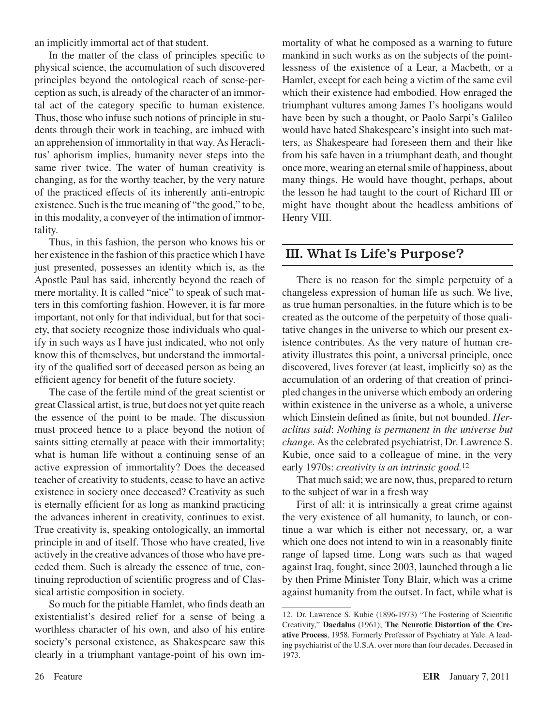an implicitly immortal act of that student.

In the matter of the class of principles specific to physical science, the accumulation of such discovered principles beyond the ontological reach of sense-perception assuch, is already of the character of an immortal act of the category specific to human existence. Thus, those who infuse such notions of principle in students through their work in teaching, are imbued with an apprehension of immortality in that way.As Heraclitus' aphorism implies, humanity never steps into the same river twice. The water of human creativity is changing, as for the worthy teacher, by the very nature of the practiced effects of its inherently anti-entropic existence. Such is the true meaning of "the good," to be, in this modality, a conveyer of the intimation of immortality.

Thus, in this fashion, the person who knows his or her existence in the fashion of this practice which I have just presented, possesses an identity which is, as the Apostle Paul has said, inherently beyond the reach of mere mortality. It is called "nice" to speak of such matters in this comforting fashion. However, it is far more important, not only for that individual, but for that society, that society recognize those individuals who qualify in such ways as I have just indicated, who not only know this of themselves, but understand the immortality of the qualified sort of deceased person as being an efficient agency for benefit of the future society.

The case of the fertile mind of the great scientist or great Classical artist, istrue, but does not yet quite reach the essence of the point to be made. The discussion must proceed hence to a place beyond the notion of saints sitting eternally at peace with their immortality; what is human life without a continuing sense of an active expression of immortality? Does the deceased teacher of creativity to students, cease to have an active existence in society once deceased? Creativity as such is eternally efficient for as long as mankind practicing the advances inherent in creativity, continues to exist. True creativity is, speaking ontologically, an immortal principle in and of itself. Those who have created, live actively in the creative advances of those who have preceded them. Such is already the essence of true, continuing reproduction of scientific progress and of Classical artistic composition in society.

So much for the pitiable Hamlet, who finds death an existentialist's desired relief for a sense of being a worthless character of his own, and also of his entire society's personal existence, as Shakespeare saw this clearly in a triumphant vantage-point of his own immortality of what he composed as a warning to future mankind in such works as on the subjects of the pointlessness of the existence of a Lear, a Macbeth, or a Hamlet, except for each being a victim of the same evil which their existence had embodied. How enraged the triumphant vultures among James I's hooligans would have been by such a thought, or Paolo Sarpi's Galileo would have hated Shakespeare's insight into such matters, as Shakespeare had foreseen them and their like from his safe haven in a triumphant death, and thought once more, wearing an eternal smile of happiness, about many things. He would have thought, perhaps, about the lesson he had taught to the court of Richard III or might have thought about the headless ambitions of Henry VIII.

## III. What Is Life's Purpose?

There is no reason for the simple perpetuity of a changeless expression of human life as such. We live, as true human personalties, in the future which is to be created as the outcome of the perpetuity of those qualitative changes in the universe to which our present existence contributes. As the very nature of human creativity illustrates this point, a universal principle, once discovered, lives forever (at least, implicitly so) as the accumulation of an ordering of that creation of principled changes in the universe which embody an ordering within existence in the universe as a whole, a universe which Einstein defined as finite, but not bounded. *Heraclitus said*: *Nothing is permanent in the universe but change.* As the celebrated psychiatrist, Dr. Lawrence S. Kubie, once said to a colleague of mine, in the very early 1970s: *creativity is an intrinsic good.*<sup>12</sup>

That much said; we are now, thus, prepared to return to the subject of war in a fresh way

First of all: it is intrinsically a great crime against the very existence of all humanity, to launch, or continue a war which is either not necessary, or, a war which one does not intend to win in a reasonably finite range of lapsed time. Long wars such as that waged against Iraq, fought, since 2003, launched through a lie by then Prime Minister Tony Blair, which was a crime against humanity from the outset. In fact, while what is

<sup>12.</sup> Dr. Lawrence S. Kubie (1896-1973) "The Fostering of Scientific Creativity," **Daedalus** (1961); **The Neurotic Distortion of the Creative Process**, 1958. Formerly Professor of Psychiatry at Yale. A leading psychiatrist of the U.S.A. over more than four decades. Deceased in 1973.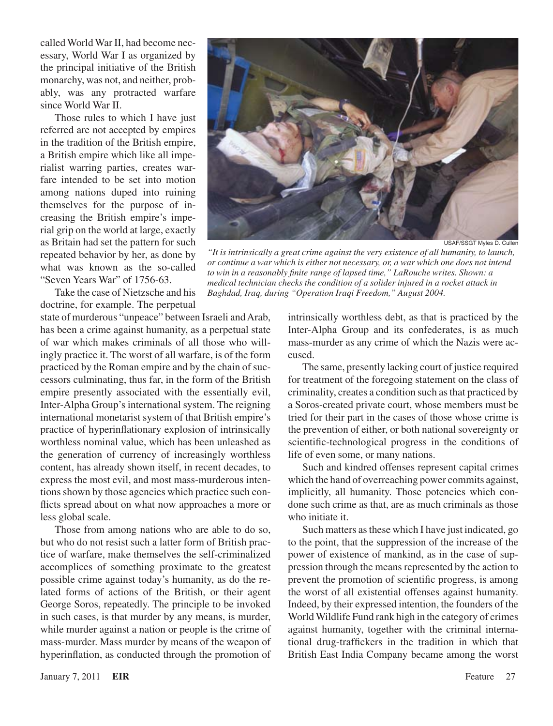called World War II, had become necessary, World War I as organized by the principal initiative of the British monarchy, was not, and neither, probably, was any protracted warfare since World War II.

Those rules to which I have just referred are not accepted by empires in the tradition of the British empire, a British empire which like all imperialist warring parties, creates warfare intended to be set into motion among nations duped into ruining themselves for the purpose of increasing the British empire's imperial grip on the world at large, exactly as Britain had set the pattern for such repeated behavior by her, as done by what was known as the so-called "Seven Years War" of 1756-63.

Take the case of Nietzsche and his doctrine, for example. The perpetual

state of murderous "unpeace" between Israeli and Arab, has been a crime against humanity, as a perpetual state of war which makes criminals of all those who willingly practice it. The worst of all warfare, is of the form practiced by the Roman empire and by the chain of successors culminating, thus far, in the form of the British empire presently associated with the essentially evil, Inter-Alpha Group's international system. The reigning international monetarist system of that British empire's practice of hyperinflationary explosion of intrinsically worthless nominal value, which has been unleashed as the generation of currency of increasingly worthless content, has already shown itself, in recent decades, to express the most evil, and most mass-murderous intentions shown by those agencies which practice such conflicts spread about on what now approaches a more or less global scale.

Those from among nations who are able to do so, but who do not resist such a latter form of British practice of warfare, make themselves the self-criminalized accomplices of something proximate to the greatest possible crime against today's humanity, as do the related forms of actions of the British, or their agent George Soros, repeatedly. The principle to be invoked in such cases, is that murder by any means, is murder, while murder against a nation or people is the crime of mass-murder. Mass murder by means of the weapon of hyperinflation, as conducted through the promotion of



USAF/SSGT Myles D. Cullen

*"It is intrinsically a great crime against the very existence of all humanity, to launch, or continue a war which is either not necessary, or, a war which one does not intend to win in a reasonably finite range of lapsed time," LaRouche writes. Shown: a medical technician checks the condition of a solider injured in a rocket attack in Baghdad, Iraq, during "Operation Iraqi Freedom," August 2004.*

intrinsically worthless debt, as that is practiced by the Inter-Alpha Group and its confederates, is as much mass-murder as any crime of which the Nazis were accused.

The same, presently lacking court of justice required for treatment of the foregoing statement on the class of criminality, creates a condition such asthat practiced by a Soros-created private court, whose members must be tried for their part in the cases of those whose crime is the prevention of either, or both national sovereignty or scientific-technological progress in the conditions of life of even some, or many nations.

Such and kindred offenses represent capital crimes which the hand of overreaching power commits against, implicitly, all humanity. Those potencies which condone such crime as that, are as much criminals as those who initiate it.

Such matters asthese which I have just indicated, go to the point, that the suppression of the increase of the power of existence of mankind, as in the case of suppression through the means represented by the action to prevent the promotion of scientific progress, is among the worst of all existential offenses against humanity. Indeed, by their expressed intention, the founders of the World Wildlife Fund rank high in the category of crimes against humanity, together with the criminal international drug-traffickers in the tradition in which that British East India Company became among the worst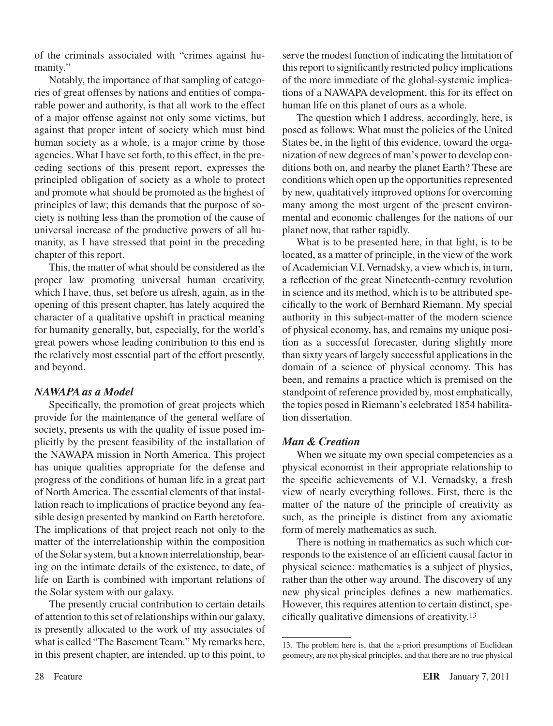of the criminals associated with "crimes against humanity."

Notably, the importance of that sampling of categories of great offenses by nations and entities of comparable power and authority, is that all work to the effect of a major offense against not only some victims, but against that proper intent of society which must bind human society as a whole, is a major crime by those agencies. What I have set forth, to this effect, in the preceding sections of this present report, expresses the principled obligation of society as a whole to protect and promote what should be promoted as the highest of principles of law; this demands that the purpose of society is nothing less than the promotion of the cause of universal increase of the productive powers of all humanity, as I have stressed that point in the preceding chapter of this report.

This, the matter of what should be considered as the proper law promoting universal human creativity, which I have, thus, set before us afresh, again, as in the opening of this present chapter, has lately acquired the character of a qualitative upshift in practical meaning for humanity generally, but, especially, for the world's great powers whose leading contribution to this end is the relatively most essential part of the effort presently, and beyond.

#### *NAWAPA as a Model*

Specifically, the promotion of great projects which provide for the maintenance of the general welfare of society, presents us with the quality of issue posed implicitly by the present feasibility of the installation of the NAWAPA mission in North America. This project has unique qualities appropriate for the defense and progress of the conditions of human life in a great part of North America. The essential elements of that installation reach to implications of practice beyond any feasible design presented by mankind on Earth heretofore. The implications of that project reach not only to the matter of the interrelationship within the composition of the Solar system, but a known interrelationship, bearing on the intimate details of the existence, to date, of life on Earth is combined with important relations of the Solar system with our galaxy.

The presently crucial contribution to certain details of attention to this set of relationships within our galaxy, is presently allocated to the work of my associates of what is called "The Basement Team." My remarks here, in this present chapter, are intended, up to this point, to serve the modest function of indicating the limitation of this report to significantly restricted policy implications of the more immediate of the global-systemic implications of a NAWAPA development, this for its effect on human life on this planet of ours as a whole.

The question which I address, accordingly, here, is posed as follows: What must the policies of the United States be, in the light of this evidence, toward the organization of new degrees of man's power to develop conditions both on, and nearby the planet Earth? These are conditions which open up the opportunities represented by new, qualitatively improved options for overcoming many among the most urgent of the present environmental and economic challenges for the nations of our planet now, that rather rapidly.

What is to be presented here, in that light, is to be located, as a matter of principle, in the view of the work of Academician V.I. Vernadsky, a view which is, in turn, a reflection of the great Nineteenth-century revolution in science and its method, which is to be attributed specifically to the work of Bernhard Riemann. My special authority in this subject-matter of the modern science of physical economy, has, and remains my unique position as a successful forecaster, during slightly more than sixty years of largely successful applications in the domain of a science of physical economy. This has been, and remains a practice which is premised on the standpoint of reference provided by, most emphatically, the topics posed in Riemann's celebrated 1854 habilitation dissertation.

#### *Man & Creation*

When we situate my own special competencies as a physical economist in their appropriate relationship to the specific achievements of V.I. Vernadsky, a fresh view of nearly everything follows. First, there is the matter of the nature of the principle of creativity as such, as the principle is distinct from any axiomatic form of merely mathematics as such.

There is nothing in mathematics as such which corresponds to the existence of an efficient causal factor in physical science: mathematics is a subject of physics, rather than the other way around. The discovery of any new physical principles defines a new mathematics. However, this requires attention to certain distinct, specifically qualitative dimensions of creativity.13

<sup>13.</sup> The problem here is, that the a-priori presumptions of Euclidean geometry, are not physical principles, and that there are no true physical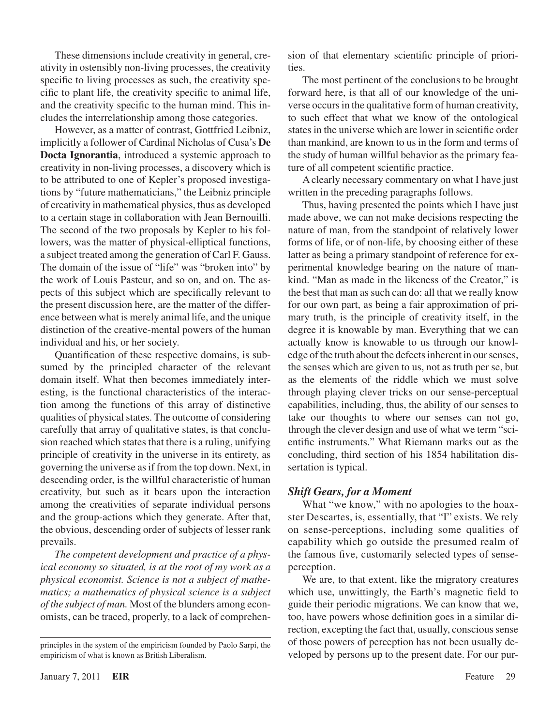These dimensions include creativity in general, creativity in ostensibly non-living processes, the creativity specific to living processes as such, the creativity specific to plant life, the creativity specific to animal life, and the creativity specific to the human mind. This includes the interrelationship among those categories.

However, as a matter of contrast, Gottfried Leibniz, implicitly a follower of Cardinal Nicholas of Cusa's **De Docta Ignorantia**, introduced a systemic approach to creativity in non-living processes, a discovery which is to be attributed to one of Kepler's proposed investigations by "future mathematicians," the Leibniz principle of creativity in mathematical physics, thus as developed to a certain stage in collaboration with Jean Bernouilli. The second of the two proposals by Kepler to his followers, was the matter of physical-elliptical functions, a subject treated among the generation of Carl F. Gauss. The domain of the issue of "life" was "broken into" by the work of Louis Pasteur, and so on, and on. The aspects of this subject which are specifically relevant to the present discussion here, are the matter of the difference between what is merely animal life, and the unique distinction of the creative-mental powers of the human individual and his, or her society.

Quantification of these respective domains, is subsumed by the principled character of the relevant domain itself. What then becomes immediately interesting, is the functional characteristics of the interaction among the functions of this array of distinctive qualities of physical states. The outcome of considering carefully that array of qualitative states, is that conclusion reached which states that there is a ruling, unifying principle of creativity in the universe in its entirety, as governing the universe asif from the top down. Next, in descending order, is the willful characteristic of human creativity, but such as it bears upon the interaction among the creativities of separate individual persons and the group-actions which they generate. After that, the obvious, descending order of subjects of lesser rank prevails.

*The competent development and practice of a physical economy so situated, is at the root of my work as a physical economist. Science is not a subject of mathematics; a mathematics of physical science is a subject of the subject of man.* Most of the blunders among economists, can be traced, properly, to a lack of comprehension of that elementary scientific principle of priorities.

The most pertinent of the conclusions to be brought forward here, is that all of our knowledge of the universe occurs in the qualitative form of human creativity, to such effect that what we know of the ontological states in the universe which are lower in scientific order than mankind, are known to us in the form and terms of the study of human willful behavior as the primary feature of all competent scientific practice.

Aclearly necessary commentary on what I have just written in the preceding paragraphs follows.

Thus, having presented the points which I have just made above, we can not make decisions respecting the nature of man, from the standpoint of relatively lower forms of life, or of non-life, by choosing either of these latter as being a primary standpoint of reference for experimental knowledge bearing on the nature of mankind. "Man as made in the likeness of the Creator," is the best that man as such can do: all that we really know for our own part, as being a fair approximation of primary truth, is the principle of creativity itself, in the degree it is knowable by man. Everything that we can actually know is knowable to us through our knowledge of the truth about the defects inherent in our senses, the senses which are given to us, not as truth per se, but as the elements of the riddle which we must solve through playing clever tricks on our sense-perceptual capabilities, including, thus, the ability of our senses to take our thoughts to where our senses can not go, through the clever design and use of what we term "scientific instruments." What Riemann marks out as the concluding, third section of his 1854 habilitation dissertation is typical.

#### *Shift Gears, for a Moment*

What "we know," with no apologies to the hoaxster Descartes, is, essentially, that "I" exists. We rely on sense-perceptions, including some qualities of capability which go outside the presumed realm of the famous five, customarily selected types of senseperception.

We are, to that extent, like the migratory creatures which use, unwittingly, the Earth's magnetic field to guide their periodic migrations. We can know that we, too, have powers whose definition goes in a similar direction, excepting the fact that, usually, conscious sense of those powers of perception has not been usually developed by persons up to the present date. For our pur-

principles in the system of the empiricism founded by Paolo Sarpi, the empiricism of what is known as British Liberalism.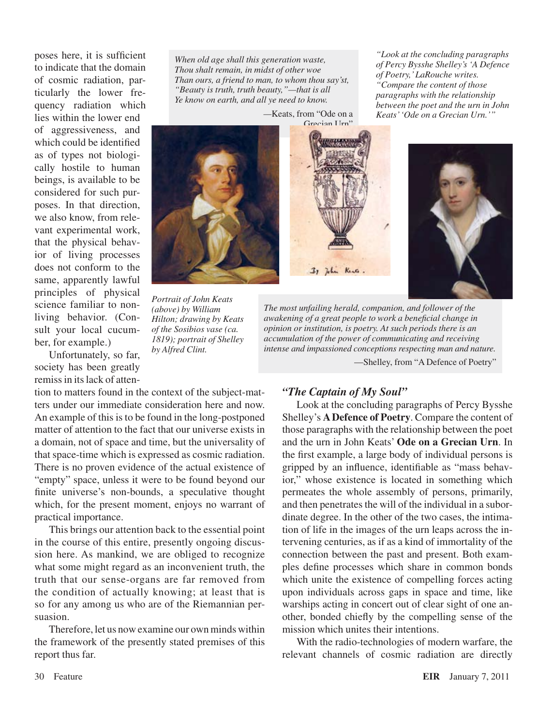poses here, it is sufficient to indicate that the domain of cosmic radiation, particularly the lower frequency radiation which lies within the lower end of aggressiveness, and which could be identified as of types not biologically hostile to human beings, is available to be considered for such purposes. In that direction, we also know, from relevant experimental work, that the physical behavior of living processes does not conform to the same, apparently lawful principles of physical science familiar to nonliving behavior. (Consult your local cucumber, for example.)

Unfortunately, so far, society has been greatly remiss in its lack of atten-

tion to matters found in the context of the subject-matters under our immediate consideration here and now. An example of this is to be found in the long-postponed matter of attention to the fact that our universe exists in a domain, not of space and time, but the universality of that space-time which is expressed as cosmic radiation. There is no proven evidence of the actual existence of "empty" space, unless it were to be found beyond our finite universe's non-bounds, a speculative thought which, for the present moment, enjoys no warrant of practical importance.

This brings our attention back to the essential point in the course of this entire, presently ongoing discussion here. As mankind, we are obliged to recognize what some might regard as an inconvenient truth, the truth that our sense-organs are far removed from the condition of actually knowing; at least that is so for any among us who are of the Riemannian persuasion.

Therefore, let us now examine our own minds within the framework of the presently stated premises of this report thus far.

*When old age shall this generation waste, Thou shalt remain, in midst of other woe Than ours, a friend to man, to whom thou say'st, "Beauty is truth, truth beauty,"—that is all Ye know on earth, and all ye need to know.*

*—*Keats, from "Ode on a



*Portrait of John Keats (above) by William Hilton; drawing by Keats of the Sosibios vase (ca. 1819); portrait of Shelley by Alfred Clint.*



*"Look at the concluding paragraphs of Percy Bysshe Shelley's 'A Defence of Poetry,' LaRouche writes. "Compare the content of those paragraphs with the relationship* 

*The most unfailing herald, companion, and follower of the awakening of a great people to work a beneficial change in opinion or institution, is poetry. At such periods there is an accumulation of the power of communicating and receiving intense and impassioned conceptions respecting man and nature.*

—Shelley, from "A Defence of Poetry"

#### *"The Captain of My Soul"*

Look at the concluding paragraphs of Percy Bysshe Shelley's **A Defence of Poetry**. Compare the content of those paragraphs with the relationship between the poet and the urn in John Keats' **Ode on a Grecian Urn**. In the first example, a large body of individual persons is gripped by an influence, identifiable as "mass behavior," whose existence is located in something which permeates the whole assembly of persons, primarily, and then penetrates the will of the individual in a subordinate degree. In the other of the two cases, the intimation of life in the images of the urn leaps across the intervening centuries, as if as a kind of immortality of the connection between the past and present. Both examples define processes which share in common bonds which unite the existence of compelling forces acting upon individuals across gaps in space and time, like warships acting in concert out of clear sight of one another, bonded chiefly by the compelling sense of the mission which unites their intentions.

With the radio-technologies of modern warfare, the relevant channels of cosmic radiation are directly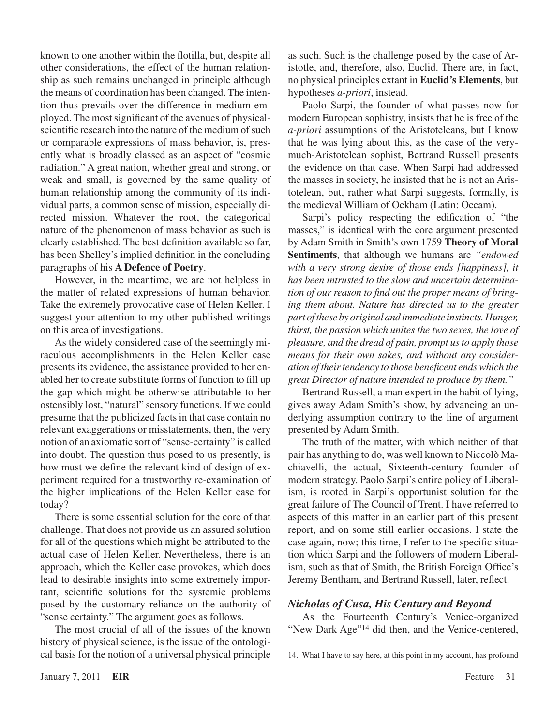known to one another within the flotilla, but, despite all other considerations, the effect of the human relationship as such remains unchanged in principle although the means of coordination has been changed. The intention thus prevails over the difference in medium employed. The most significant of the avenues of physicalscientific research into the nature of the medium of such or comparable expressions of mass behavior, is, presently what is broadly classed as an aspect of "cosmic radiation." A great nation, whether great and strong, or weak and small, is governed by the same quality of human relationship among the community of its individual parts, a common sense of mission, especially directed mission. Whatever the root, the categorical nature of the phenomenon of mass behavior as such is clearly established. The best definition available so far, has been Shelley's implied definition in the concluding paragraphs of his **A Defence of Poetry**.

However, in the meantime, we are not helpless in the matter of related expressions of human behavior. Take the extremely provocative case of Helen Keller. I suggest your attention to my other published writings on this area of investigations.

As the widely considered case of the seemingly miraculous accomplishments in the Helen Keller case presents its evidence, the assistance provided to her enabled her to create substitute forms of function to fill up the gap which might be otherwise attributable to her ostensibly lost, "natural" sensory functions. If we could presume that the publicized factsin that case contain no relevant exaggerations or misstatements, then, the very notion of an axiomatic sort of "sense-certainty" is called into doubt. The question thus posed to us presently, is how must we define the relevant kind of design of experiment required for a trustworthy re-examination of the higher implications of the Helen Keller case for today?

There is some essential solution for the core of that challenge. That does not provide us an assured solution for all of the questions which might be attributed to the actual case of Helen Keller. Nevertheless, there is an approach, which the Keller case provokes, which does lead to desirable insights into some extremely important, scientific solutions for the systemic problems posed by the customary reliance on the authority of "sense certainty." The argument goes as follows.

The most crucial of all of the issues of the known history of physical science, is the issue of the ontological basis for the notion of a universal physical principle as such. Such is the challenge posed by the case of Aristotle, and, therefore, also, Euclid. There are, in fact, no physical principles extant in **Euclid's Elements**, but hypotheses *a-priori*, instead.

Paolo Sarpi, the founder of what passes now for modern European sophistry, insists that he is free of the *a-priori* assumptions of the Aristoteleans, but I know that he was lying about this, as the case of the verymuch-Aristotelean sophist, Bertrand Russell presents the evidence on that case. When Sarpi had addressed the masses in society, he insisted that he is not an Aristotelean, but, rather what Sarpi suggests, formally, is the medieval William of Ockham (Latin: Occam).

Sarpi's policy respecting the edification of "the masses," is identical with the core argument presented by Adam Smith in Smith's own 1759 **Theory of Moral Sentiments**, that although we humans are *"endowed with a very strong desire of those ends [happiness], it has been intrusted to the slow and uncertain determination of our reason to find out the proper means of bringing them about. Nature has directed us to the greater part of these by original and immediate instincts. Hunger, thirst, the passion which unites the two sexes, the love of pleasure, and the dread of pain, prompt us to apply those means for their own sakes, and without any consideration of their tendency to those beneficent ends which the great Director of nature intended to produce by them."*

Bertrand Russell, a man expert in the habit of lying, gives away Adam Smith's show, by advancing an underlying assumption contrary to the line of argument presented by Adam Smith.

The truth of the matter, with which neither of that pair has anything to do, was well known to Niccolò Machiavelli, the actual, Sixteenth-century founder of modern strategy. Paolo Sarpi's entire policy of Liberalism, is rooted in Sarpi's opportunist solution for the great failure of The Council of Trent. I have referred to aspects of this matter in an earlier part of this present report, and on some still earlier occasions. I state the case again, now; this time, I refer to the specific situation which Sarpi and the followers of modern Liberalism, such as that of Smith, the British Foreign Office's Jeremy Bentham, and Bertrand Russell, later, reflect.

#### *Nicholas of Cusa, His Century and Beyond*

As the Fourteenth Century's Venice-organized "New Dark Age"14 did then, and the Venice-centered,

<sup>14.</sup> What I have to say here, at this point in my account, has profound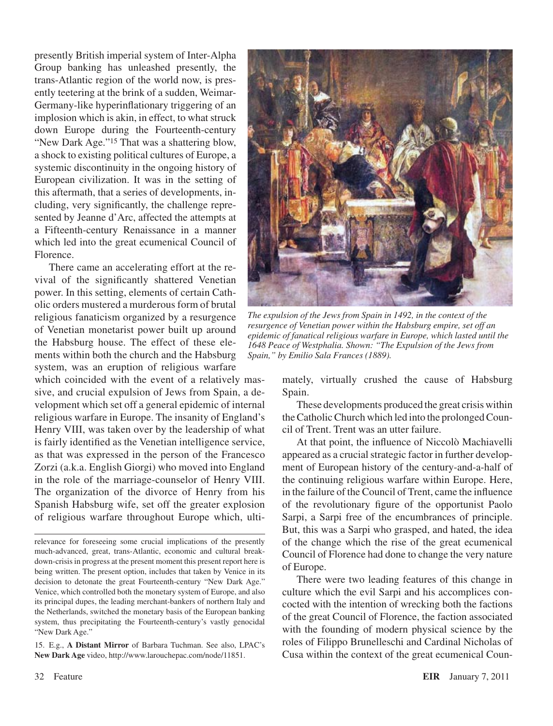presently British imperial system of Inter-Alpha Group banking has unleashed presently, the trans-Atlantic region of the world now, is presently teetering at the brink of a sudden, Weimar-Germany-like hyperinflationary triggering of an implosion which is akin, in effect, to what struck down Europe during the Fourteenth-century "New Dark Age."15 That was a shattering blow, a shock to existing political cultures of Europe, a systemic discontinuity in the ongoing history of European civilization. It was in the setting of this aftermath, that a series of developments, including, very significantly, the challenge represented by Jeanne d'Arc, affected the attempts at a Fifteenth-century Renaissance in a manner which led into the great ecumenical Council of Florence.

There came an accelerating effort at the revival of the significantly shattered Venetian power. In this setting, elements of certain Catholic orders mustered a murderous form of brutal religious fanaticism organized by a resurgence of Venetian monetarist power built up around the Habsburg house. The effect of these elements within both the church and the Habsburg system, was an eruption of religious warfare

which coincided with the event of a relatively massive, and crucial expulsion of Jews from Spain, a development which set off a general epidemic of internal religious warfare in Europe. The insanity of England's Henry VIII, was taken over by the leadership of what is fairly identified as the Venetian intelligence service, as that was expressed in the person of the Francesco Zorzi (a.k.a. English Giorgi) who moved into England in the role of the marriage-counselor of Henry VIII. The organization of the divorce of Henry from his Spanish Habsburg wife, set off the greater explosion of religious warfare throughout Europe which, ulti-

15. E.g., **A Distant Mirror** of Barbara Tuchman. See also, LPAC's **New Dark Age** video, http://www.larouchepac.com/node/11851.



*The expulsion of the Jews from Spain in 1492, in the context of the resurgence of Venetian power within the Habsburg empire, set off an epidemic of fanatical religious warfare in Europe, which lasted until the 1648 Peace of Westphalia. Shown: "The Expulsion of the Jews from Spain," by Emilio Sala Frances (1889).*

mately, virtually crushed the cause of Habsburg Spain.

These developments produced the great crisis within the Catholic Church which led into the prolonged Council of Trent. Trent was an utter failure.

At that point, the influence of Niccolò Machiavelli appeared as a crucial strategic factor in further development of European history of the century-and-a-half of the continuing religious warfare within Europe. Here, in the failure of the Council of Trent, came the influence of the revolutionary figure of the opportunist Paolo Sarpi, a Sarpi free of the encumbrances of principle. But, this was a Sarpi who grasped, and hated, the idea of the change which the rise of the great ecumenical Council of Florence had done to change the very nature of Europe.

There were two leading features of this change in culture which the evil Sarpi and his accomplices concocted with the intention of wrecking both the factions of the great Council of Florence, the faction associated with the founding of modern physical science by the roles of Filippo Brunelleschi and Cardinal Nicholas of Cusa within the context of the great ecumenical Coun-

relevance for foreseeing some crucial implications of the presently much-advanced, great, trans-Atlantic, economic and cultural breakdown-crisis in progress at the present moment this present report here is being written. The present option, includes that taken by Venice in its decision to detonate the great Fourteenth-century "New Dark Age." Venice, which controlled both the monetary system of Europe, and also its principal dupes, the leading merchant-bankers of northern Italy and the Netherlands, switched the monetary basis of the European banking system, thus precipitating the Fourteenth-century's vastly genocidal "New Dark Age."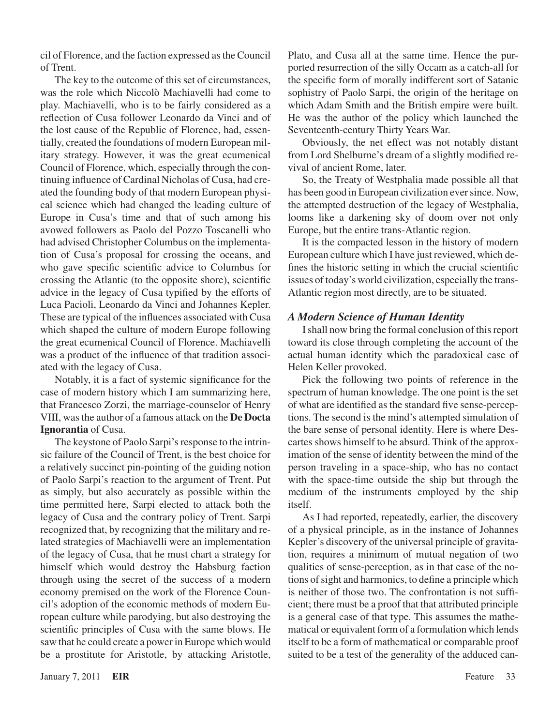cil of Florence, and the faction expressed asthe Council of Trent.

The key to the outcome of this set of circumstances, was the role which Niccolò Machiavelli had come to play. Machiavelli, who is to be fairly considered as a reflection of Cusa follower Leonardo da Vinci and of the lost cause of the Republic of Florence, had, essentially, created the foundations of modern European military strategy. However, it was the great ecumenical Council of Florence, which, especially through the continuing influence of Cardinal Nicholas of Cusa, had created the founding body of that modern European physical science which had changed the leading culture of Europe in Cusa's time and that of such among his avowed followers as Paolo del Pozzo Toscanelli who had advised Christopher Columbus on the implementation of Cusa's proposal for crossing the oceans, and who gave specific scientific advice to Columbus for crossing the Atlantic (to the opposite shore), scientific advice in the legacy of Cusa typified by the efforts of Luca Pacioli, Leonardo da Vinci and Johannes Kepler. These are typical of the influences associated with Cusa which shaped the culture of modern Europe following the great ecumenical Council of Florence. Machiavelli was a product of the influence of that tradition associated with the legacy of Cusa.

Notably, it is a fact of systemic significance for the case of modern history which I am summarizing here, that Francesco Zorzi, the marriage-counselor of Henry VIII, wasthe author of a famous attack on the **De Docta Ignorantia** of Cusa.

The keystone of Paolo Sarpi's response to the intrinsic failure of the Council of Trent, is the best choice for a relatively succinct pin-pointing of the guiding notion of Paolo Sarpi's reaction to the argument of Trent. Put as simply, but also accurately as possible within the time permitted here, Sarpi elected to attack both the legacy of Cusa and the contrary policy of Trent. Sarpi recognized that, by recognizing that the military and related strategies of Machiavelli were an implementation of the legacy of Cusa, that he must chart a strategy for himself which would destroy the Habsburg faction through using the secret of the success of a modern economy premised on the work of the Florence Council's adoption of the economic methods of modern European culture while parodying, but also destroying the scientific principles of Cusa with the same blows. He saw that he could create a powerin Europe which would be a prostitute for Aristotle, by attacking Aristotle, Plato, and Cusa all at the same time. Hence the purported resurrection of the silly Occam as a catch-all for the specific form of morally indifferent sort of Satanic sophistry of Paolo Sarpi, the origin of the heritage on which Adam Smith and the British empire were built. He was the author of the policy which launched the Seventeenth-century Thirty Years War.

Obviously, the net effect was not notably distant from Lord Shelburne's dream of a slightly modified revival of ancient Rome, later.

So, the Treaty of Westphalia made possible all that has been good in European civilization ever since. Now, the attempted destruction of the legacy of Westphalia, looms like a darkening sky of doom over not only Europe, but the entire trans-Atlantic region.

It is the compacted lesson in the history of modern European culture which I have just reviewed, which defines the historic setting in which the crucial scientific issues of today's world civilization, especially the trans-Atlantic region most directly, are to be situated.

#### *A Modern Science of Human Identity*

I shall now bring the formal conclusion of this report toward its close through completing the account of the actual human identity which the paradoxical case of Helen Keller provoked.

Pick the following two points of reference in the spectrum of human knowledge. The one point is the set of what are identified as the standard five sense-perceptions. The second is the mind's attempted simulation of the bare sense of personal identity. Here is where Descartes shows himself to be absurd. Think of the approximation of the sense of identity between the mind of the person traveling in a space-ship, who has no contact with the space-time outside the ship but through the medium of the instruments employed by the ship itself.

As I had reported, repeatedly, earlier, the discovery of a physical principle, as in the instance of Johannes Kepler's discovery of the universal principle of gravitation, requires a minimum of mutual negation of two qualities of sense-perception, as in that case of the notions of sight and harmonics, to define a principle which is neither of those two. The confrontation is not sufficient; there must be a proof that that attributed principle is a general case of that type. This assumes the mathematical or equivalent form of a formulation which lends itself to be a form of mathematical or comparable proof suited to be a test of the generality of the adduced can-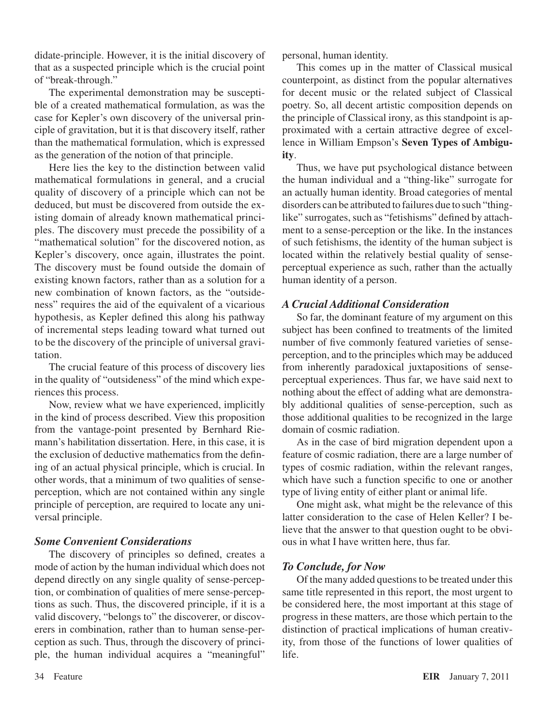didate-principle. However, it is the initial discovery of that as a suspected principle which is the crucial point of "break-through."

The experimental demonstration may be susceptible of a created mathematical formulation, as was the case for Kepler's own discovery of the universal principle of gravitation, but it is that discovery itself, rather than the mathematical formulation, which is expressed as the generation of the notion of that principle.

Here lies the key to the distinction between valid mathematical formulations in general, and a crucial quality of discovery of a principle which can not be deduced, but must be discovered from outside the existing domain of already known mathematical principles. The discovery must precede the possibility of a "mathematical solution" for the discovered notion, as Kepler's discovery, once again, illustrates the point. The discovery must be found outside the domain of existing known factors, rather than as a solution for a new combination of known factors, as the "outsideness" requires the aid of the equivalent of a vicarious hypothesis, as Kepler defined this along his pathway of incremental steps leading toward what turned out to be the discovery of the principle of universal gravitation.

The crucial feature of this process of discovery lies in the quality of "outsideness" of the mind which experiences this process.

Now, review what we have experienced, implicitly in the kind of process described. View this proposition from the vantage-point presented by Bernhard Riemann's habilitation dissertation. Here, in this case, it is the exclusion of deductive mathematics from the defining of an actual physical principle, which is crucial. In other words, that a minimum of two qualities of senseperception, which are not contained within any single principle of perception, are required to locate any universal principle.

#### *Some Convenient Considerations*

The discovery of principles so defined, creates a mode of action by the human individual which does not depend directly on any single quality of sense-perception, or combination of qualities of mere sense-perceptions as such. Thus, the discovered principle, if it is a valid discovery, "belongs to" the discoverer, or discoverers in combination, rather than to human sense-perception as such. Thus, through the discovery of principle, the human individual acquires a "meaningful" personal, human identity.

This comes up in the matter of Classical musical counterpoint, as distinct from the popular alternatives for decent music or the related subject of Classical poetry. So, all decent artistic composition depends on the principle of Classical irony, as this standpoint is approximated with a certain attractive degree of excellence in William Empson's **Seven Types of Ambiguity**.

Thus, we have put psychological distance between the human individual and a "thing-like" surrogate for an actually human identity. Broad categories of mental disorders can be attributed to failures due to such "thinglike" surrogates, such as "fetishisms" defined by attachment to a sense-perception or the like. In the instances of such fetishisms, the identity of the human subject is located within the relatively bestial quality of senseperceptual experience as such, rather than the actually human identity of a person.

#### *A Crucial Additional Consideration*

So far, the dominant feature of my argument on this subject has been confined to treatments of the limited number of five commonly featured varieties of senseperception, and to the principles which may be adduced from inherently paradoxical juxtapositions of senseperceptual experiences. Thus far, we have said next to nothing about the effect of adding what are demonstrably additional qualities of sense-perception, such as those additional qualities to be recognized in the large domain of cosmic radiation.

As in the case of bird migration dependent upon a feature of cosmic radiation, there are a large number of types of cosmic radiation, within the relevant ranges, which have such a function specific to one or another type of living entity of either plant or animal life.

One might ask, what might be the relevance of this latter consideration to the case of Helen Keller? I believe that the answer to that question ought to be obvious in what I have written here, thus far.

#### *To Conclude, for Now*

Of the many added questions to be treated under this same title represented in this report, the most urgent to be considered here, the most important at this stage of progress in these matters, are those which pertain to the distinction of practical implications of human creativity, from those of the functions of lower qualities of life.